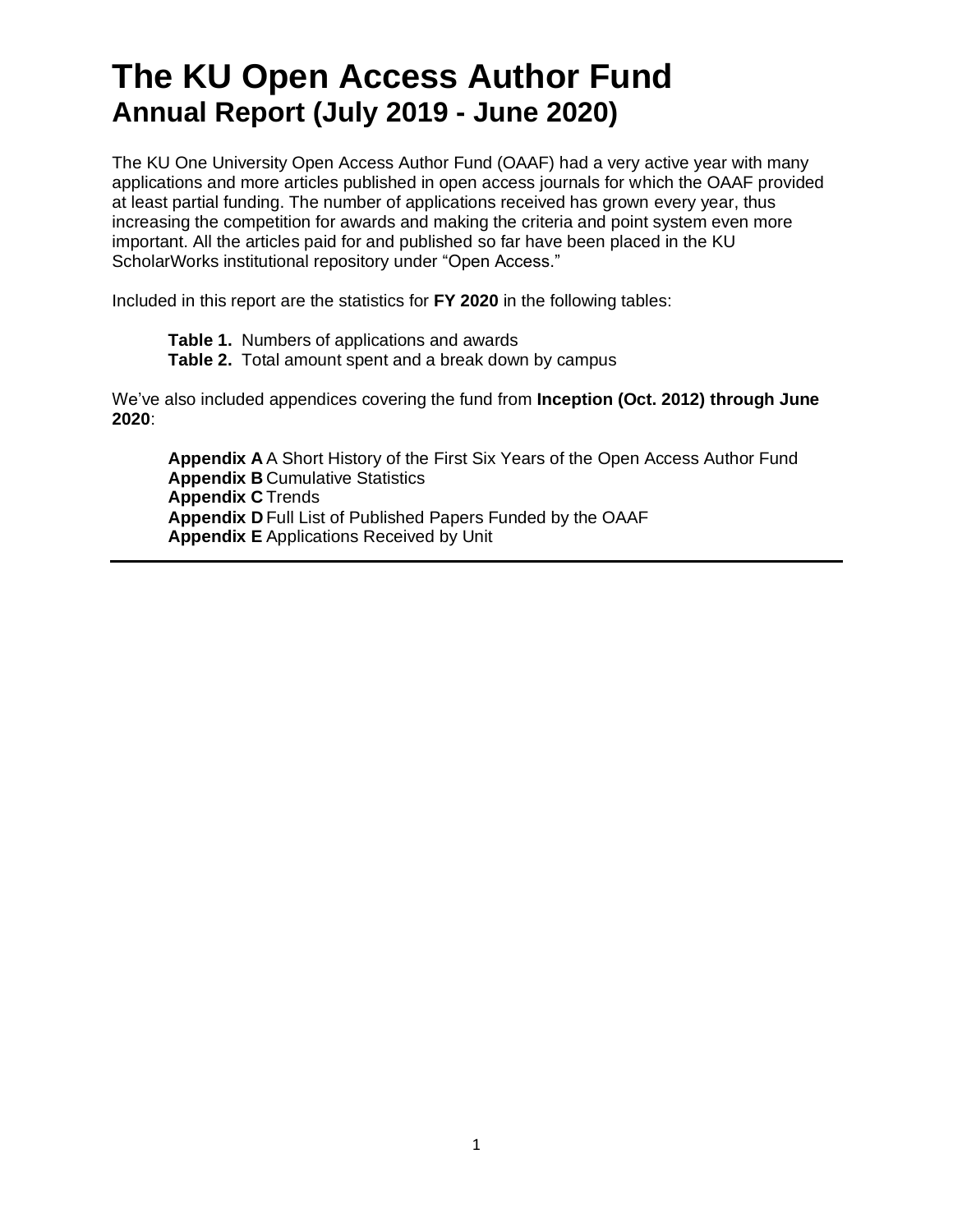# **The KU Open Access Author Fund Annual Report (July 2019 - June 2020)**

The KU One University Open Access Author Fund (OAAF) had a very active year with many applications and more articles published in open access journals for which the OAAF provided at least partial funding. The number of applications received has grown every year, thus increasing the competition for awards and making the criteria and point system even more important. All the articles paid for and published so far have been placed in the KU ScholarWorks institutional repository under "Open Access."

Included in this report are the statistics for **FY 2020** in the following tables:

**Table 1.** Numbers of applications and awards **Table 2.** Total amount spent and a break down by campus

We've also included appendices covering the fund from **Inception (Oct. 2012) through June 2020**:

**Appendix A** A Short History of the First Six Years of the Open Access Author Fund **Appendix B** Cumulative Statistics **Appendix C** Trends **Appendix D** Full List of Published Papers Funded by the OAAF **Appendix E** Applications Received by Unit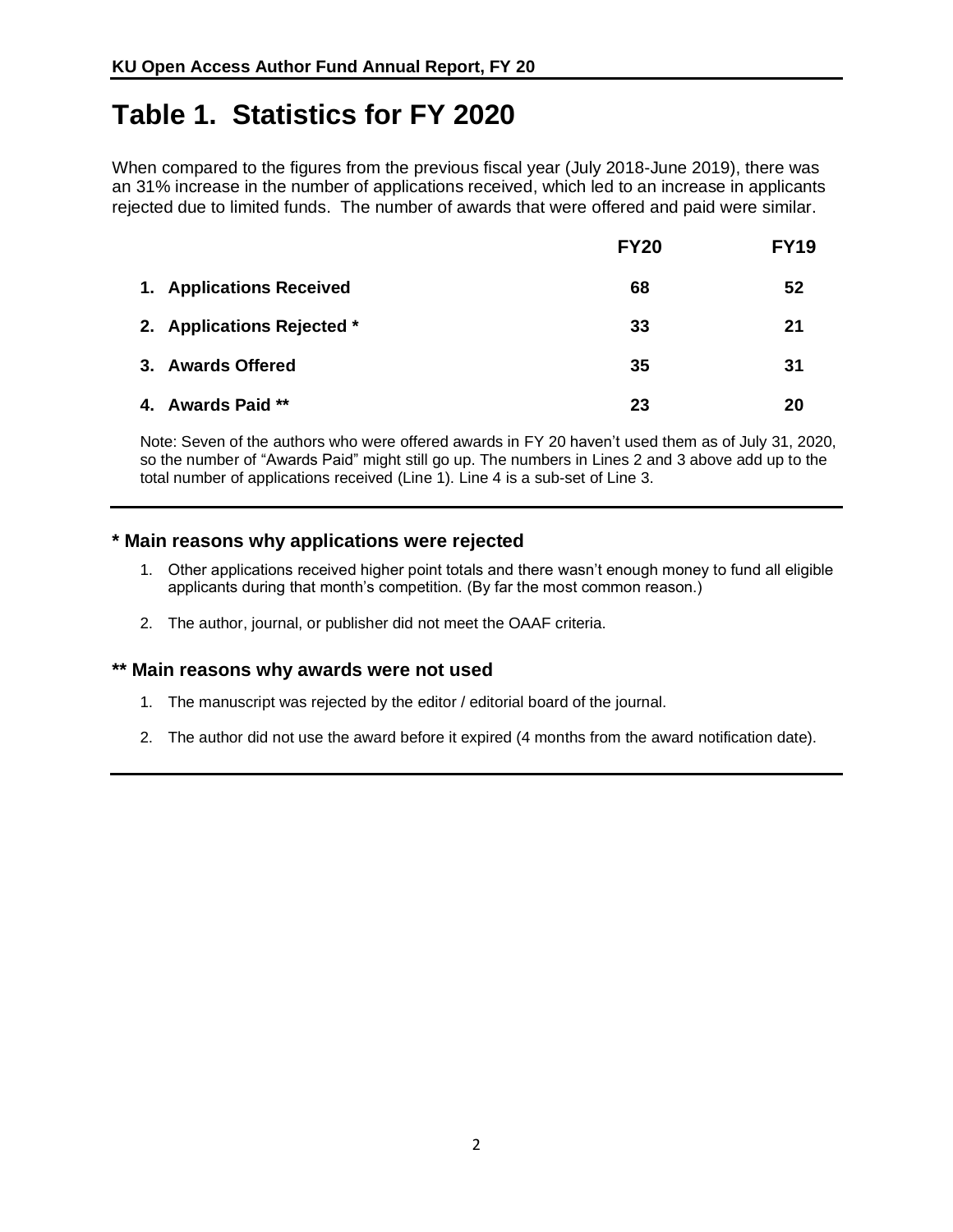## **Table 1. Statistics for FY 2020**

When compared to the figures from the previous fiscal year (July 2018-June 2019), there was an 31% increase in the number of applications received, which led to an increase in applicants rejected due to limited funds. The number of awards that were offered and paid were similar.

|                            | <b>FY20</b> | <b>FY19</b> |
|----------------------------|-------------|-------------|
| 1. Applications Received   | 68          | 52          |
| 2. Applications Rejected * | 33          | 21          |
| 3. Awards Offered          | 35          | 31          |
| 4. Awards Paid **          | 23          | 20          |

Note: Seven of the authors who were offered awards in FY 20 haven't used them as of July 31, 2020, so the number of "Awards Paid" might still go up. The numbers in Lines 2 and 3 above add up to the total number of applications received (Line 1). Line 4 is a sub-set of Line 3.

#### **\* Main reasons why applications were rejected**

- 1. Other applications received higher point totals and there wasn't enough money to fund all eligible applicants during that month's competition. (By far the most common reason.)
- 2. The author, journal, or publisher did not meet the OAAF criteria.

#### **\*\* Main reasons why awards were not used**

- 1. The manuscript was rejected by the editor / editorial board of the journal.
- 2. The author did not use the award before it expired (4 months from the award notification date).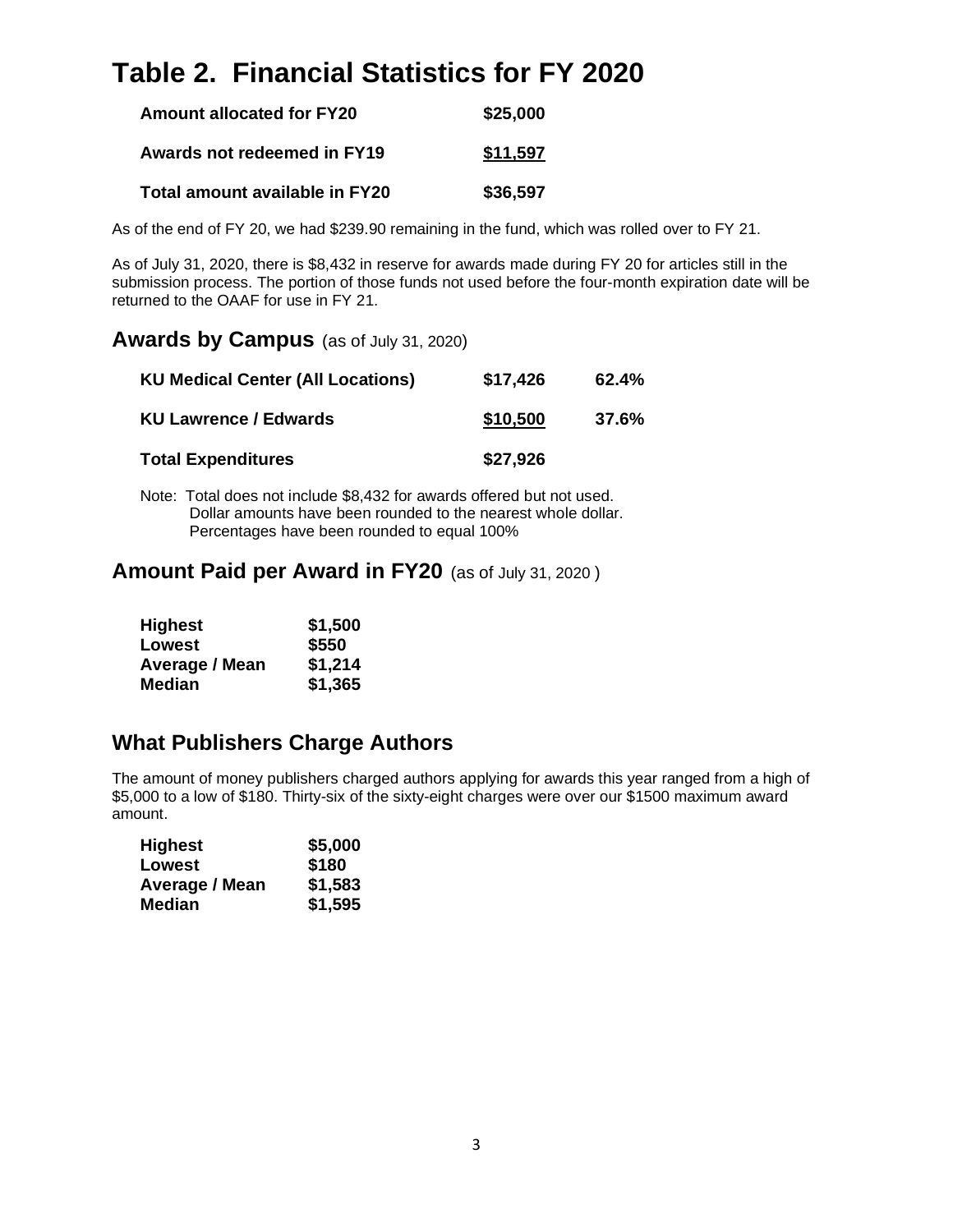# **Table 2. Financial Statistics for FY 2020**

| <b>Amount allocated for FY20</b> | \$25,000 |
|----------------------------------|----------|
| Awards not redeemed in FY19      | \$11,597 |
| Total amount available in FY20   | \$36,597 |

As of the end of FY 20, we had \$239.90 remaining in the fund, which was rolled over to FY 21.

As of July 31, 2020, there is \$8,432 in reserve for awards made during FY 20 for articles still in the submission process. The portion of those funds not used before the four-month expiration date will be returned to the OAAF for use in FY 21.

#### **Awards by Campus** (as of July 31, 2020)

| <b>KU Medical Center (All Locations)</b> | \$17,426 | 62.4% |
|------------------------------------------|----------|-------|
| <b>KU Lawrence / Edwards</b>             | \$10,500 | 37.6% |
| <b>Total Expenditures</b>                | \$27,926 |       |

Note: Total does not include \$8,432 for awards offered but not used. Dollar amounts have been rounded to the nearest whole dollar. Percentages have been rounded to equal 100%

#### **Amount Paid per Award in FY20** (as of July 31, 2020 )

| <b>Highest</b>        | \$1,500 |
|-----------------------|---------|
| Lowest                | \$550   |
| <b>Average / Mean</b> | \$1,214 |
| Median                | \$1,365 |

### **What Publishers Charge Authors**

The amount of money publishers charged authors applying for awards this year ranged from a high of \$5,000 to a low of \$180. Thirty-six of the sixty-eight charges were over our \$1500 maximum award amount.

| <b>Highest</b>        | \$5,000 |
|-----------------------|---------|
| Lowest                | \$180   |
| <b>Average / Mean</b> | \$1,583 |
| Median                | \$1,595 |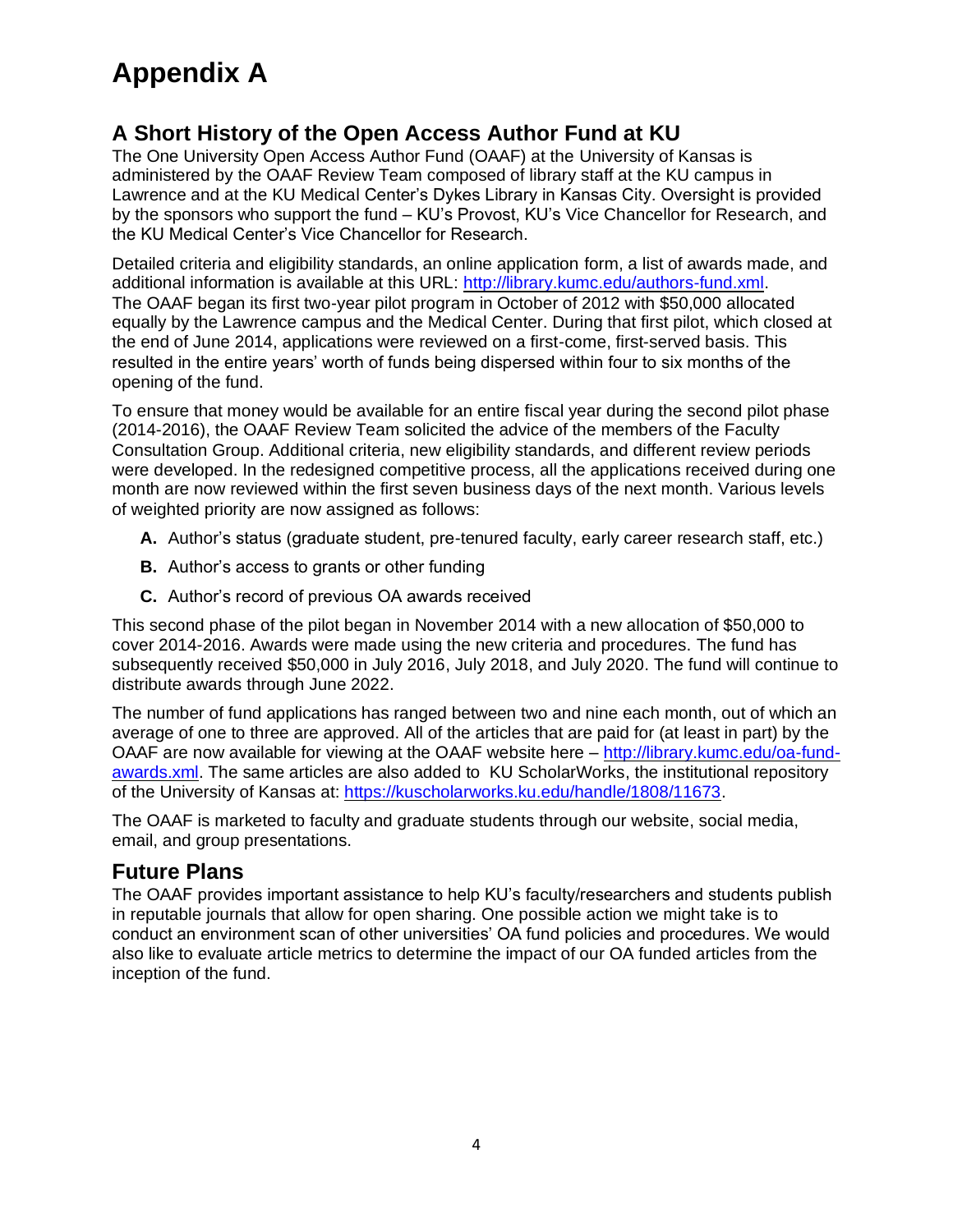# **Appendix A**

## **A Short History of the Open Access Author Fund at KU**

The One University Open Access Author Fund (OAAF) at the University of Kansas is administered by the OAAF Review Team composed of library staff at the KU campus in Lawrence and at the KU Medical Center's Dykes Library in Kansas City. Oversight is provided by the sponsors who support the fund – KU's Provost, KU's Vice Chancellor for Research, and the KU Medical Center's Vice Chancellor for Research.

Detailed criteria and eligibility standards, an online application form, a list of awards made, and additional information is available at this URL: [http://library.kumc.edu/authors-fund.xml.](http://library.kumc.edu/authors-fund.xml) The OAAF began its first two-year pilot program in October of 2012 with \$50,000 allocated equally by the Lawrence campus and the Medical Center. During that first pilot, which closed at the end of June 2014, applications were reviewed on a first-come, first-served basis. This resulted in the entire years' worth of funds being dispersed within four to six months of the opening of the fund.

To ensure that money would be available for an entire fiscal year during the second pilot phase (2014-2016), the OAAF Review Team solicited the advice of the members of the Faculty Consultation Group. Additional criteria, new eligibility standards, and different review periods were developed. In the redesigned competitive process, all the applications received during one month are now reviewed within the first seven business days of the next month. Various levels of weighted priority are now assigned as follows:

- **A.** Author's status (graduate student, pre-tenured faculty, early career research staff, etc.)
- **B.** Author's access to grants or other funding
- **C.** Author's record of previous OA awards received

This second phase of the pilot began in November 2014 with a new allocation of \$50,000 to cover 2014-2016. Awards were made using the new criteria and procedures. The fund has subsequently received \$50,000 in July 2016, July 2018, and July 2020. The fund will continue to distribute awards through June 2022.

The number of fund applications has ranged between two and nine each month, out of which an average of one to three are approved. All of the articles that are paid for (at least in part) by the OAAF are now available for viewing at the OAAF website here – [http://library.kumc.edu/oa-fund](http://library.kumc.edu/oa-fund-awards.xml)[awards.xml.](http://library.kumc.edu/oa-fund-awards.xml) The same articles are also added to KU ScholarWorks, the institutional repository of the University of Kansas at: [https://kuscholarworks.ku.edu/handle/1808/11673.](https://kuscholarworks.ku.edu/handle/1808/11673)

The OAAF is marketed to faculty and graduate students through our website, social media, email, and group presentations.

### **Future Plans**

The OAAF provides important assistance to help KU's faculty/researchers and students publish in reputable journals that allow for open sharing. One possible action we might take is to conduct an environment scan of other universities' OA fund policies and procedures. We would also like to evaluate article metrics to determine the impact of our OA funded articles from the inception of the fund.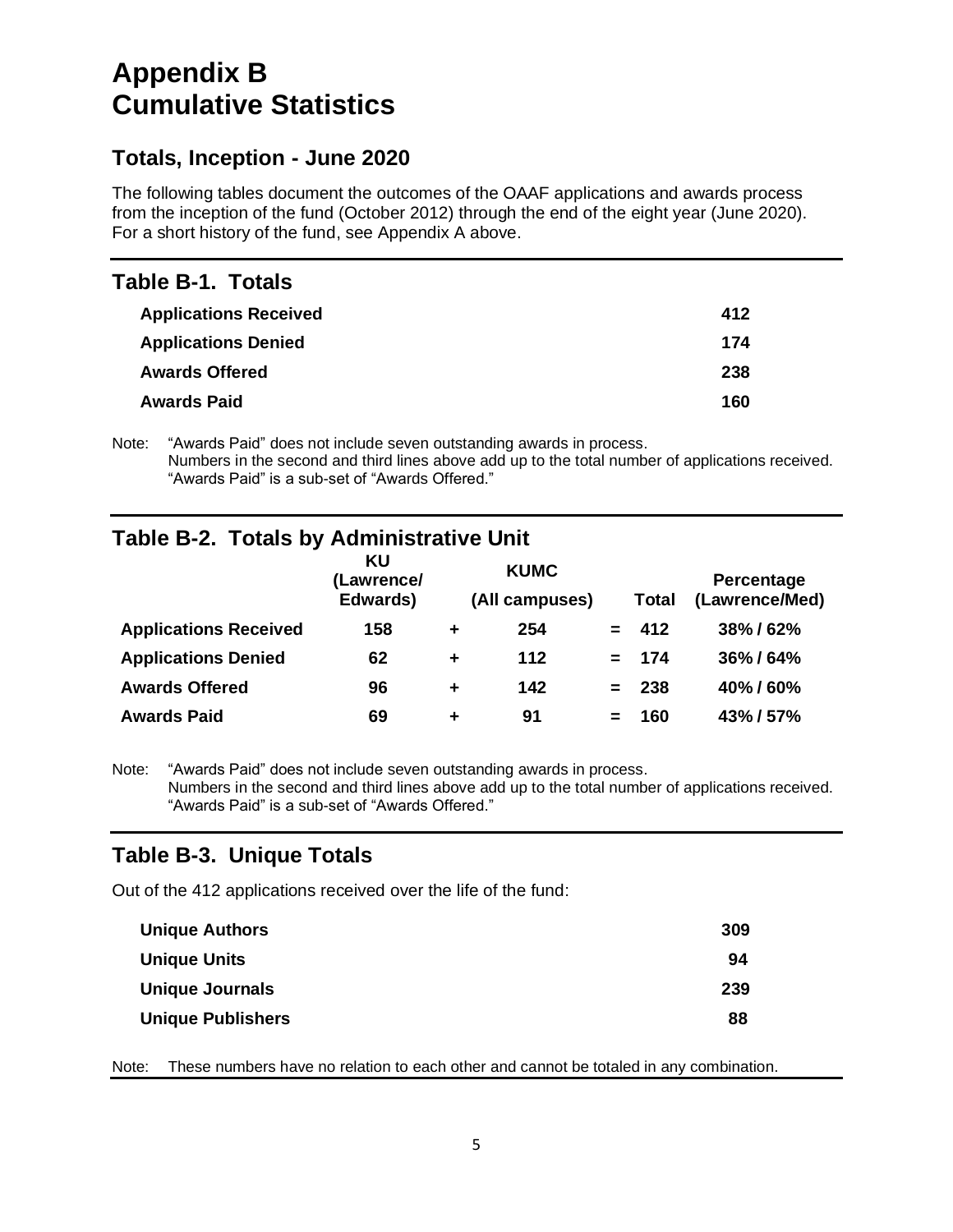## **Appendix B Cumulative Statistics**

### **Totals, Inception - June 2020**

The following tables document the outcomes of the OAAF applications and awards process from the inception of the fund (October 2012) through the end of the eight year (June 2020). For a short history of the fund, see Appendix A above.

### **Table B-1. Totals**

| <b>Applications Received</b> | 412 |
|------------------------------|-----|
| <b>Applications Denied</b>   | 174 |
| <b>Awards Offered</b>        | 238 |
| <b>Awards Paid</b>           | 160 |

Note: "Awards Paid" does not include seven outstanding awards in process. Numbers in the second and third lines above add up to the total number of applications received. "Awards Paid" is a sub-set of "Awards Offered."

## **Table B-2. Totals by Administrative Unit**

|                              | KU<br>(Lawrence/<br>Edwards) |   | <b>KUMC</b><br>(All campuses) |     | Total | <b>Percentage</b><br>(Lawrence/Med) |
|------------------------------|------------------------------|---|-------------------------------|-----|-------|-------------------------------------|
| <b>Applications Received</b> | 158                          | ÷ | 254                           |     | 412   | 38%/62%                             |
| <b>Applications Denied</b>   | 62                           | ÷ | 112                           | $=$ | 174   | 36%/64%                             |
| <b>Awards Offered</b>        | 96                           | ÷ | 142                           | $=$ | 238   | 40%/60%                             |
| <b>Awards Paid</b>           | 69                           | ÷ | 91                            |     | 160   | 43%/57%                             |

Note: "Awards Paid" does not include seven outstanding awards in process. Numbers in the second and third lines above add up to the total number of applications received. "Awards Paid" is a sub-set of "Awards Offered."

## **Table B-3. Unique Totals**

Out of the 412 applications received over the life of the fund:

| 309 |
|-----|
| 94  |
| 239 |
| 88  |
|     |

Note: These numbers have no relation to each other and cannot be totaled in any combination.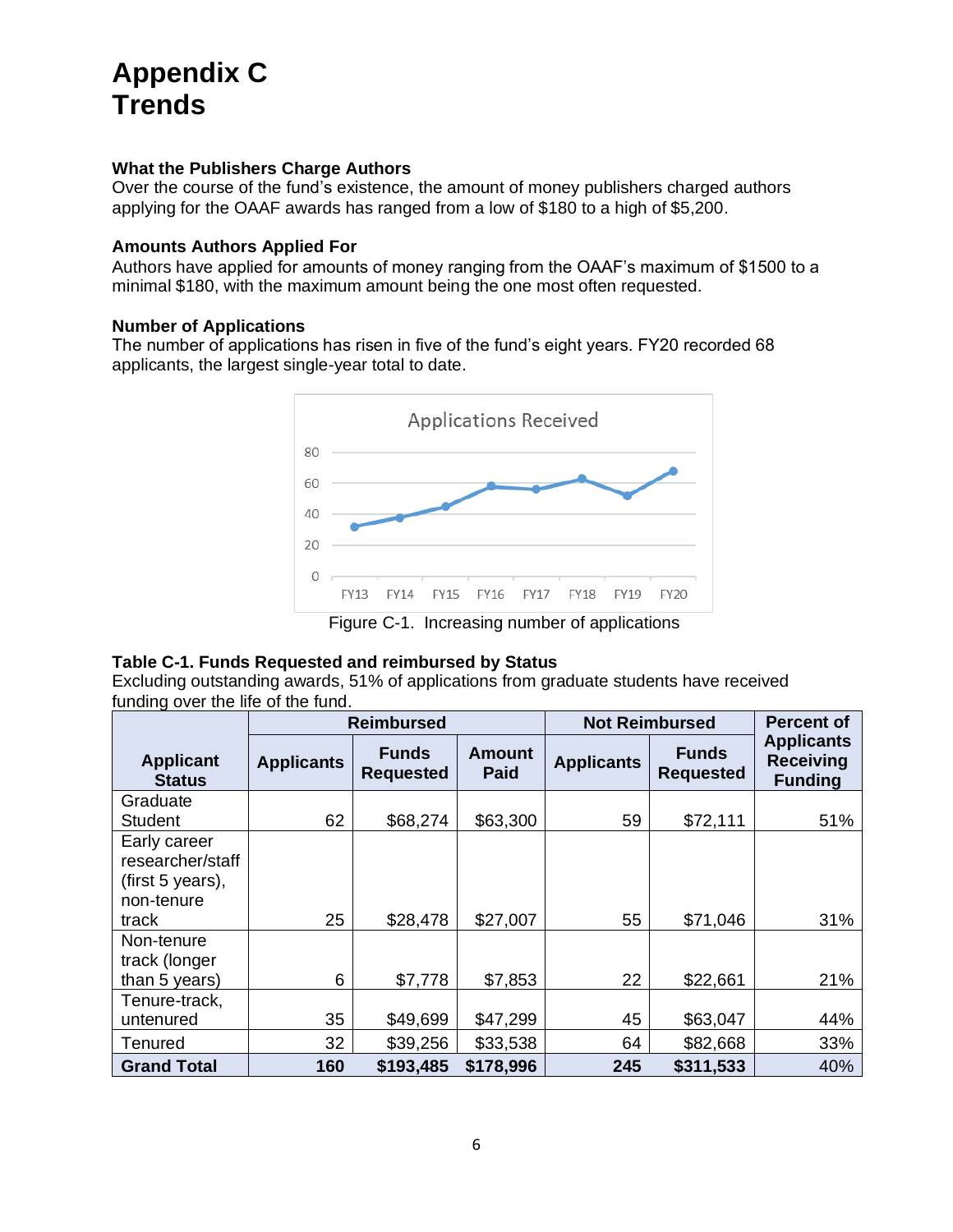# **Appendix C Trends**

#### **What the Publishers Charge Authors**

Over the course of the fund's existence, the amount of money publishers charged authors applying for the OAAF awards has ranged from a low of \$180 to a high of \$5,200.

#### **Amounts Authors Applied For**

Authors have applied for amounts of money ranging from the OAAF's maximum of \$1500 to a minimal \$180, with the maximum amount being the one most often requested.

#### **Number of Applications**

The number of applications has risen in five of the fund's eight years. FY20 recorded 68 applicants, the largest single-year total to date.



#### **Table C-1. Funds Requested and reimbursed by Status**

Excluding outstanding awards, 51% of applications from graduate students have received funding over the life of the fund.

|                                                                               | <b>Reimbursed</b> |                                  |                              | <b>Not Reimbursed</b> | <b>Percent of</b>                |                                                         |
|-------------------------------------------------------------------------------|-------------------|----------------------------------|------------------------------|-----------------------|----------------------------------|---------------------------------------------------------|
| <b>Applicant</b><br><b>Status</b>                                             | <b>Applicants</b> | <b>Funds</b><br><b>Requested</b> | <b>Amount</b><br><b>Paid</b> | <b>Applicants</b>     | <b>Funds</b><br><b>Requested</b> | <b>Applicants</b><br><b>Receiving</b><br><b>Funding</b> |
| Graduate                                                                      | 62                | \$68,274                         | \$63,300                     | 59                    | \$72,111                         | 51%                                                     |
| Student<br>Early career<br>researcher/staff<br>(first 5 years),<br>non-tenure |                   |                                  |                              |                       |                                  |                                                         |
| track                                                                         | 25                | \$28,478                         | \$27,007                     | 55                    | \$71,046                         | 31%                                                     |
| Non-tenure<br>track (longer<br>than 5 years)                                  | 6                 | \$7,778                          | \$7,853                      | 22                    | \$22,661                         | 21%                                                     |
| Tenure-track,<br>untenured                                                    | 35                | \$49,699                         | \$47,299                     | 45                    | \$63,047                         | 44%                                                     |
| Tenured                                                                       | 32                | \$39,256                         | \$33,538                     | 64                    | \$82,668                         | 33%                                                     |
| <b>Grand Total</b>                                                            | 160               | \$193,485                        | \$178,996                    | 245                   | \$311,533                        | 40%                                                     |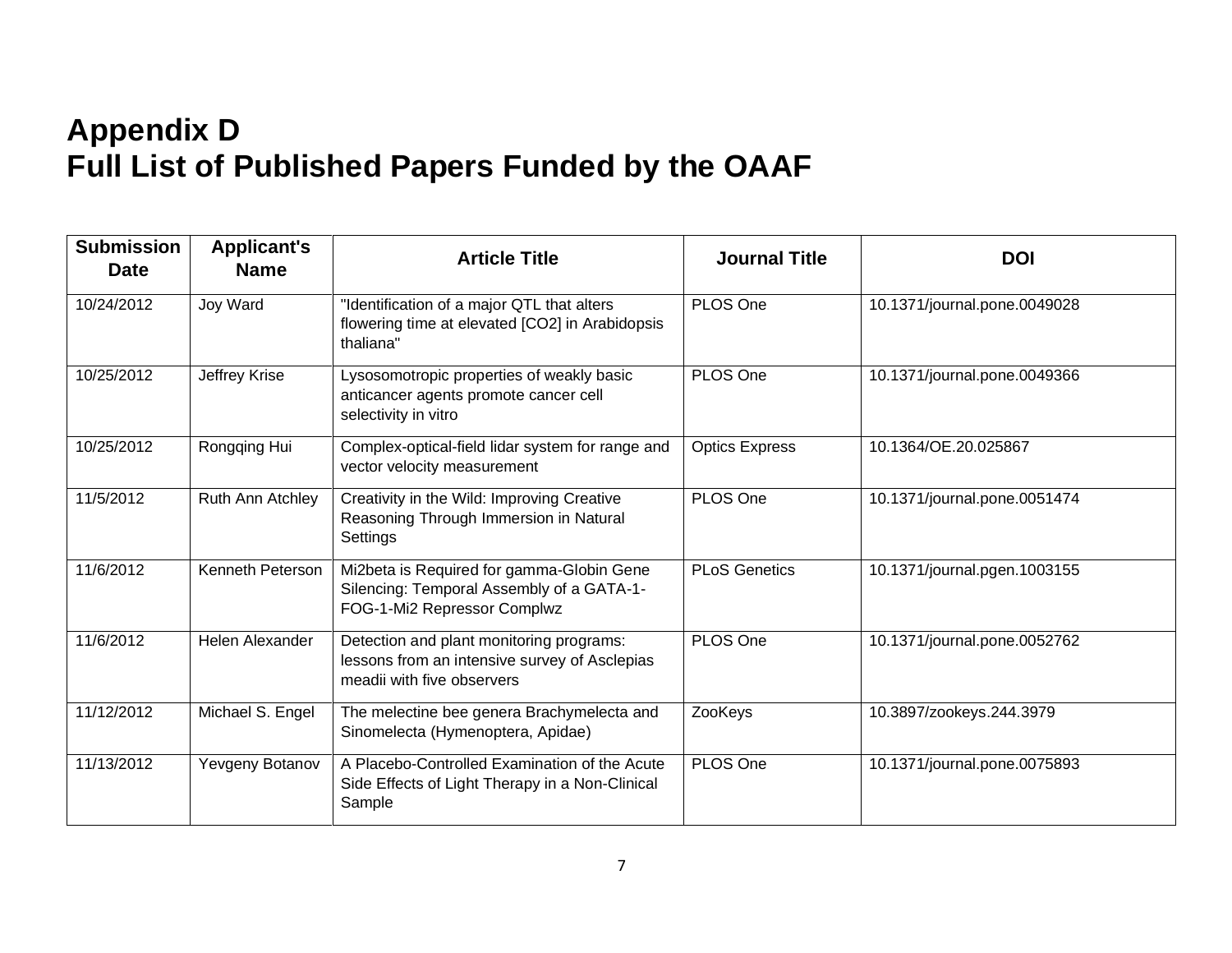# **Appendix D Full List of Published Papers Funded by the OAAF**

| <b>Submission</b><br><b>Date</b> | <b>Applicant's</b><br><b>Name</b> | <b>Article Title</b>                                                                                                    | <b>Journal Title</b>  | <b>DOI</b>                   |
|----------------------------------|-----------------------------------|-------------------------------------------------------------------------------------------------------------------------|-----------------------|------------------------------|
| 10/24/2012                       | Joy Ward                          | "Identification of a major QTL that alters<br>flowering time at elevated [CO2] in Arabidopsis<br>thaliana"              | PLOS One              | 10.1371/journal.pone.0049028 |
| 10/25/2012                       | Jeffrey Krise                     | Lysosomotropic properties of weakly basic<br>anticancer agents promote cancer cell<br>selectivity in vitro              | PLOS One              | 10.1371/journal.pone.0049366 |
| 10/25/2012                       | Rongqing Hui                      | Complex-optical-field lidar system for range and<br>vector velocity measurement                                         | <b>Optics Express</b> | 10.1364/OE.20.025867         |
| 11/5/2012                        | Ruth Ann Atchley                  | Creativity in the Wild: Improving Creative<br>Reasoning Through Immersion in Natural<br>Settings                        | PLOS One              | 10.1371/journal.pone.0051474 |
| 11/6/2012                        | Kenneth Peterson                  | Mi2beta is Required for gamma-Globin Gene<br>Silencing: Temporal Assembly of a GATA-1-<br>FOG-1-Mi2 Repressor Complwz   | <b>PLoS Genetics</b>  | 10.1371/journal.pgen.1003155 |
| 11/6/2012                        | Helen Alexander                   | Detection and plant monitoring programs:<br>lessons from an intensive survey of Asclepias<br>meadii with five observers | PLOS One              | 10.1371/journal.pone.0052762 |
| 11/12/2012                       | Michael S. Engel                  | The melectine bee genera Brachymelecta and<br>Sinomelecta (Hymenoptera, Apidae)                                         | ZooKeys               | 10.3897/zookeys.244.3979     |
| 11/13/2012                       | Yevgeny Botanov                   | A Placebo-Controlled Examination of the Acute<br>Side Effects of Light Therapy in a Non-Clinical<br>Sample              | PLOS One              | 10.1371/journal.pone.0075893 |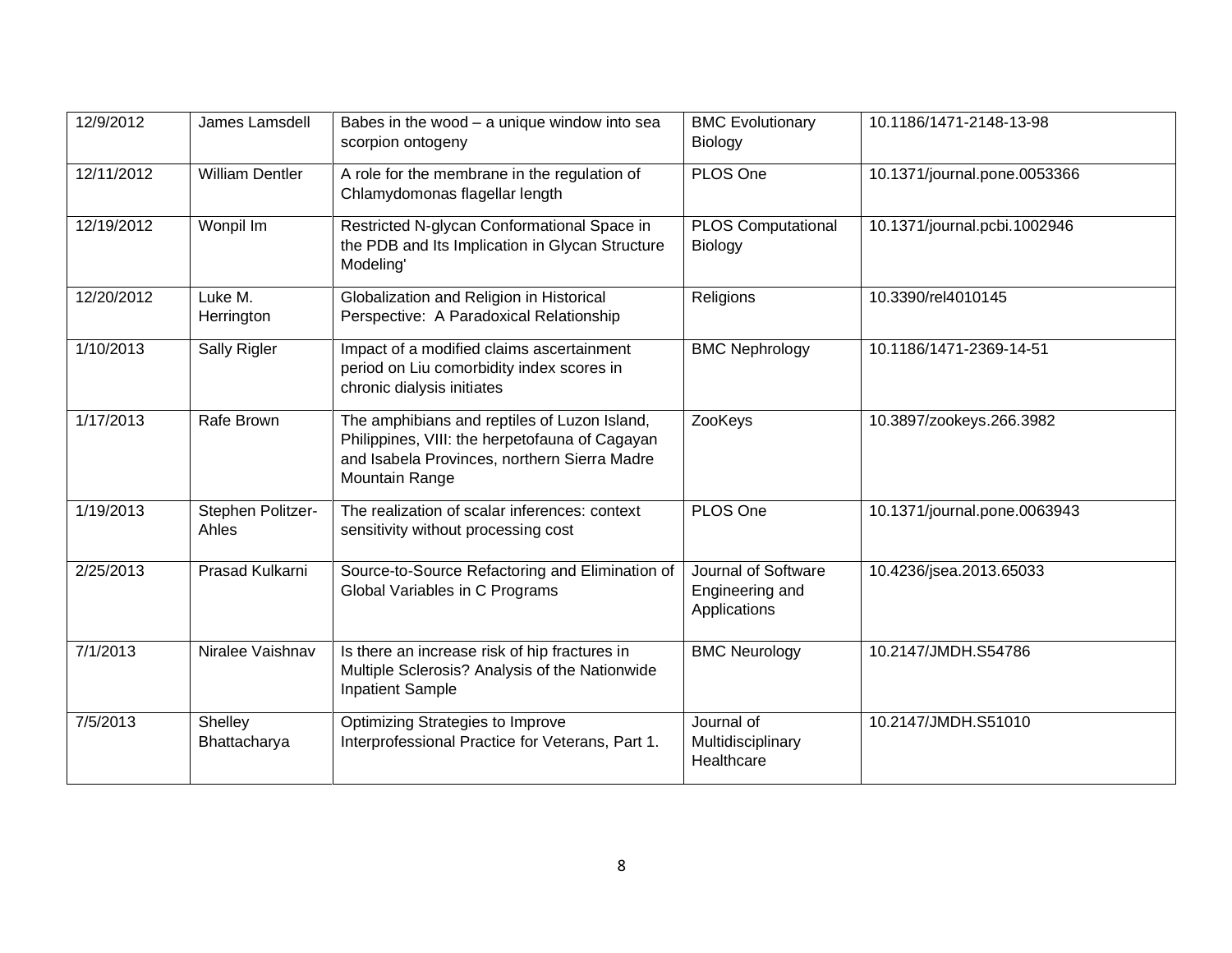| 12/9/2012  | James Lamsdell             | Babes in the wood - a unique window into sea<br>scorpion ontogeny                                                                                                | <b>BMC Evolutionary</b><br>Biology                     | 10.1186/1471-2148-13-98      |
|------------|----------------------------|------------------------------------------------------------------------------------------------------------------------------------------------------------------|--------------------------------------------------------|------------------------------|
| 12/11/2012 | <b>William Dentler</b>     | A role for the membrane in the regulation of<br>Chlamydomonas flagellar length                                                                                   | PLOS One                                               | 10.1371/journal.pone.0053366 |
| 12/19/2012 | Wonpil Im                  | Restricted N-glycan Conformational Space in<br>the PDB and Its Implication in Glycan Structure<br>Modeling'                                                      | <b>PLOS Computational</b><br>Biology                   | 10.1371/journal.pcbi.1002946 |
| 12/20/2012 | Luke M.<br>Herrington      | Globalization and Religion in Historical<br>Perspective: A Paradoxical Relationship                                                                              | Religions                                              | 10.3390/rel4010145           |
| 1/10/2013  | Sally Rigler               | Impact of a modified claims ascertainment<br>period on Liu comorbidity index scores in<br>chronic dialysis initiates                                             | <b>BMC Nephrology</b>                                  | 10.1186/1471-2369-14-51      |
| 1/17/2013  | Rafe Brown                 | The amphibians and reptiles of Luzon Island,<br>Philippines, VIII: the herpetofauna of Cagayan<br>and Isabela Provinces, northern Sierra Madre<br>Mountain Range | ZooKeys                                                | 10.3897/zookeys.266.3982     |
| 1/19/2013  | Stephen Politzer-<br>Ahles | The realization of scalar inferences: context<br>sensitivity without processing cost                                                                             | PLOS One                                               | 10.1371/journal.pone.0063943 |
| 2/25/2013  | Prasad Kulkarni            | Source-to-Source Refactoring and Elimination of<br>Global Variables in C Programs                                                                                | Journal of Software<br>Engineering and<br>Applications | 10.4236/jsea.2013.65033      |
| 7/1/2013   | Niralee Vaishnav           | Is there an increase risk of hip fractures in<br>Multiple Sclerosis? Analysis of the Nationwide<br><b>Inpatient Sample</b>                                       | <b>BMC Neurology</b>                                   | 10.2147/JMDH.S54786          |
| 7/5/2013   | Shelley<br>Bhattacharya    | Optimizing Strategies to Improve<br>Interprofessional Practice for Veterans, Part 1.                                                                             | Journal of<br>Multidisciplinary<br>Healthcare          | 10.2147/JMDH.S51010          |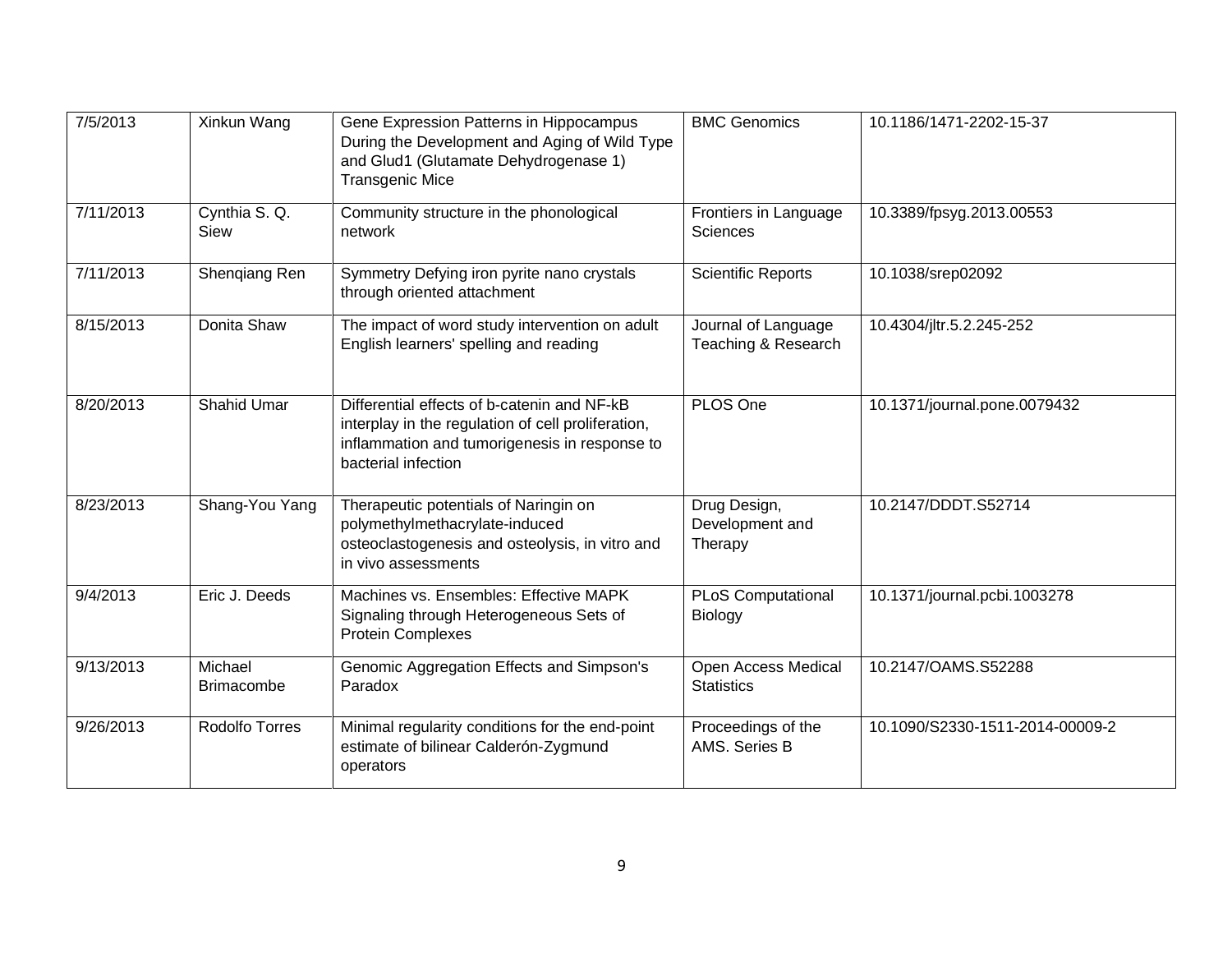| 7/5/2013  | Xinkun Wang                  | Gene Expression Patterns in Hippocampus<br>During the Development and Aging of Wild Type<br>and Glud1 (Glutamate Dehydrogenase 1)<br><b>Transgenic Mice</b>               | <b>BMC Genomics</b>                        | 10.1186/1471-2202-15-37         |
|-----------|------------------------------|---------------------------------------------------------------------------------------------------------------------------------------------------------------------------|--------------------------------------------|---------------------------------|
| 7/11/2013 | Cynthia S. Q.<br>Siew        | Community structure in the phonological<br>network                                                                                                                        | Frontiers in Language<br><b>Sciences</b>   | 10.3389/fpsyg.2013.00553        |
| 7/11/2013 | Shenqiang Ren                | Symmetry Defying iron pyrite nano crystals<br>through oriented attachment                                                                                                 | <b>Scientific Reports</b>                  | 10.1038/srep02092               |
| 8/15/2013 | Donita Shaw                  | The impact of word study intervention on adult<br>English learners' spelling and reading                                                                                  | Journal of Language<br>Teaching & Research | 10.4304/jltr.5.2.245-252        |
| 8/20/2013 | <b>Shahid Umar</b>           | Differential effects of b-catenin and NF-kB<br>interplay in the regulation of cell proliferation,<br>inflammation and tumorigenesis in response to<br>bacterial infection | PLOS One                                   | 10.1371/journal.pone.0079432    |
| 8/23/2013 | Shang-You Yang               | Therapeutic potentials of Naringin on<br>polymethylmethacrylate-induced<br>osteoclastogenesis and osteolysis, in vitro and<br>in vivo assessments                         | Drug Design,<br>Development and<br>Therapy | 10.2147/DDDT.S52714             |
| 9/4/2013  | Eric J. Deeds                | Machines vs. Ensembles: Effective MAPK<br>Signaling through Heterogeneous Sets of<br><b>Protein Complexes</b>                                                             | <b>PLoS Computational</b><br>Biology       | 10.1371/journal.pcbi.1003278    |
| 9/13/2013 | Michael<br><b>Brimacombe</b> | Genomic Aggregation Effects and Simpson's<br>Paradox                                                                                                                      | Open Access Medical<br><b>Statistics</b>   | 10.2147/OAMS.S52288             |
| 9/26/2013 | Rodolfo Torres               | Minimal regularity conditions for the end-point<br>estimate of bilinear Calderón-Zygmund<br>operators                                                                     | Proceedings of the<br>AMS. Series B        | 10.1090/S2330-1511-2014-00009-2 |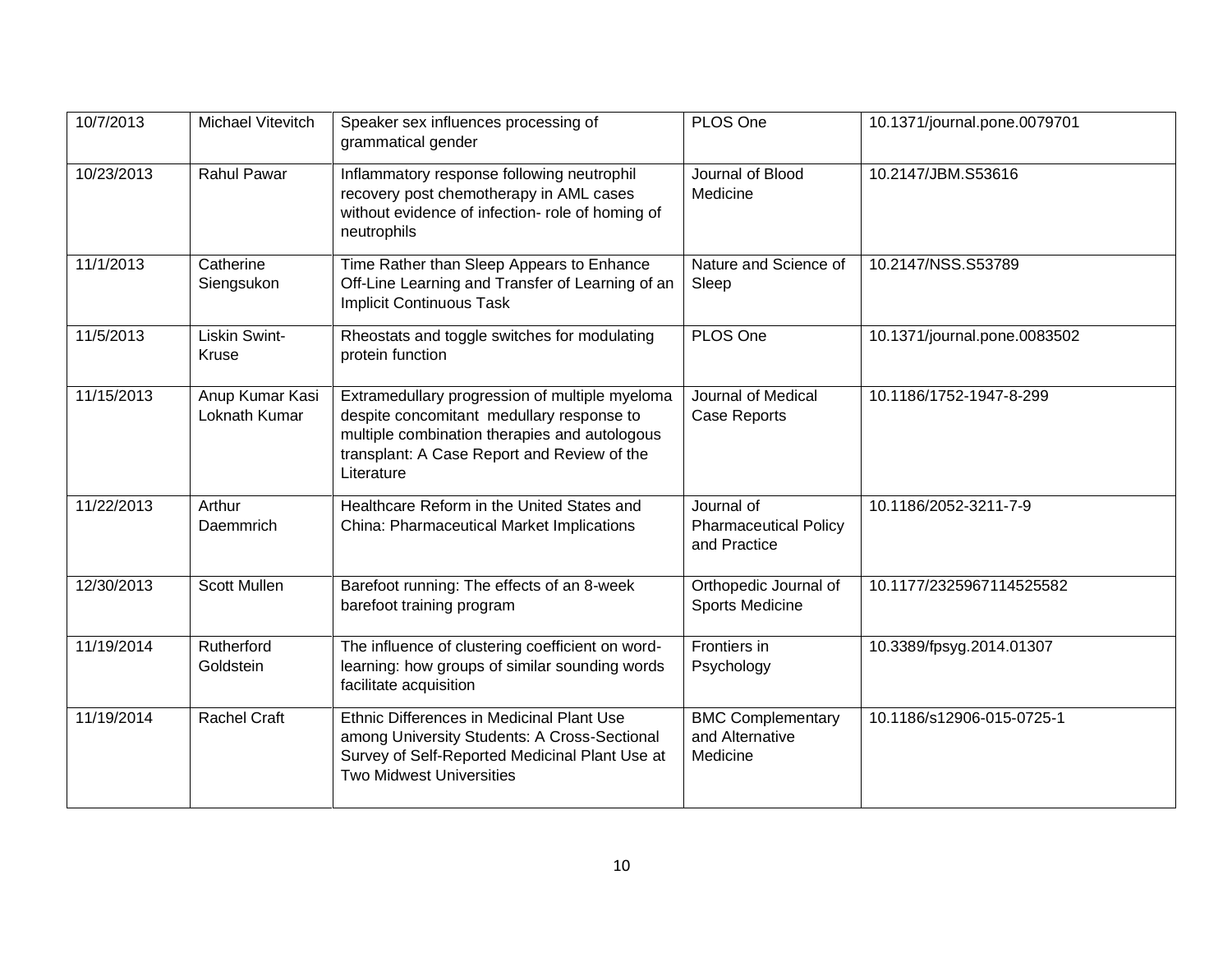| 10/7/2013  | Michael Vitevitch                | Speaker sex influences processing of<br>grammatical gender                                                                                                                                                | PLOS One                                                   | 10.1371/journal.pone.0079701 |
|------------|----------------------------------|-----------------------------------------------------------------------------------------------------------------------------------------------------------------------------------------------------------|------------------------------------------------------------|------------------------------|
| 10/23/2013 | <b>Rahul Pawar</b>               | Inflammatory response following neutrophil<br>recovery post chemotherapy in AML cases<br>without evidence of infection- role of homing of<br>neutrophils                                                  | Journal of Blood<br>Medicine                               | 10.2147/JBM.S53616           |
| 11/1/2013  | Catherine<br>Siengsukon          | Time Rather than Sleep Appears to Enhance<br>Off-Line Learning and Transfer of Learning of an<br><b>Implicit Continuous Task</b>                                                                          | Nature and Science of<br>Sleep                             | 10.2147/NSS.S53789           |
| 11/5/2013  | Liskin Swint-<br>Kruse           | Rheostats and toggle switches for modulating<br>protein function                                                                                                                                          | PLOS One                                                   | 10.1371/journal.pone.0083502 |
| 11/15/2013 | Anup Kumar Kasi<br>Loknath Kumar | Extramedullary progression of multiple myeloma<br>despite concomitant medullary response to<br>multiple combination therapies and autologous<br>transplant: A Case Report and Review of the<br>Literature | Journal of Medical<br>Case Reports                         | 10.1186/1752-1947-8-299      |
| 11/22/2013 | Arthur<br>Daemmrich              | Healthcare Reform in the United States and<br>China: Pharmaceutical Market Implications                                                                                                                   | Journal of<br><b>Pharmaceutical Policy</b><br>and Practice | 10.1186/2052-3211-7-9        |
| 12/30/2013 | Scott Mullen                     | Barefoot running: The effects of an 8-week<br>barefoot training program                                                                                                                                   | Orthopedic Journal of<br><b>Sports Medicine</b>            | 10.1177/2325967114525582     |
| 11/19/2014 | Rutherford<br>Goldstein          | The influence of clustering coefficient on word-<br>learning: how groups of similar sounding words<br>facilitate acquisition                                                                              | Frontiers in<br>Psychology                                 | 10.3389/fpsyg.2014.01307     |
| 11/19/2014 | <b>Rachel Craft</b>              | Ethnic Differences in Medicinal Plant Use<br>among University Students: A Cross-Sectional<br>Survey of Self-Reported Medicinal Plant Use at<br><b>Two Midwest Universities</b>                            | <b>BMC Complementary</b><br>and Alternative<br>Medicine    | 10.1186/s12906-015-0725-1    |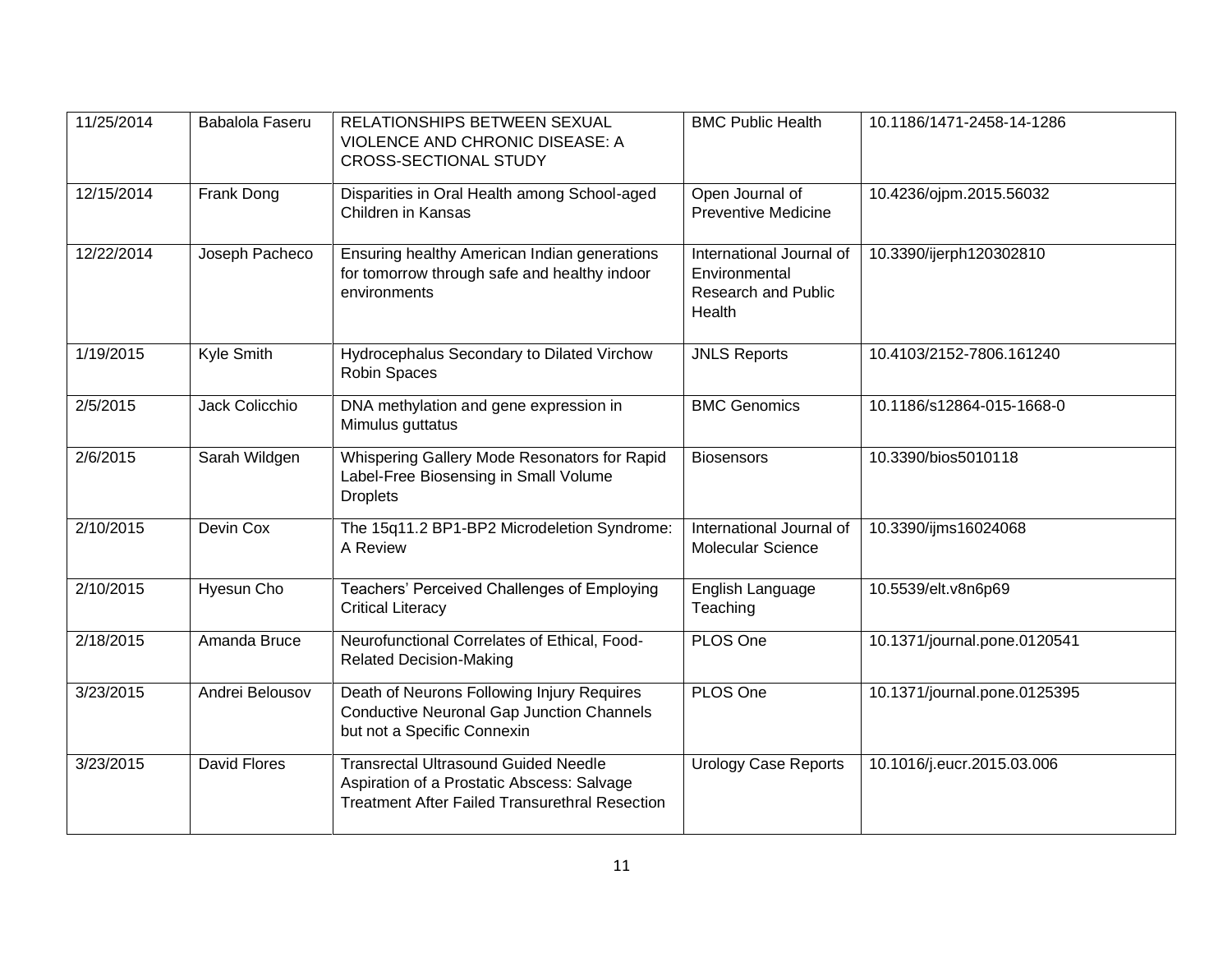| 11/25/2014 | Babalola Faseru     | RELATIONSHIPS BETWEEN SEXUAL<br>VIOLENCE AND CHRONIC DISEASE: A<br><b>CROSS-SECTIONAL STUDY</b>                                                    | <b>BMC Public Health</b>                                                          | 10.1186/1471-2458-14-1286    |
|------------|---------------------|----------------------------------------------------------------------------------------------------------------------------------------------------|-----------------------------------------------------------------------------------|------------------------------|
| 12/15/2014 | Frank Dong          | Disparities in Oral Health among School-aged<br>Children in Kansas                                                                                 | Open Journal of<br><b>Preventive Medicine</b>                                     | 10.4236/ojpm.2015.56032      |
| 12/22/2014 | Joseph Pacheco      | Ensuring healthy American Indian generations<br>for tomorrow through safe and healthy indoor<br>environments                                       | International Journal of<br>Environmental<br><b>Research and Public</b><br>Health | 10.3390/ijerph120302810      |
| 1/19/2015  | Kyle Smith          | Hydrocephalus Secondary to Dilated Virchow<br>Robin Spaces                                                                                         | <b>JNLS Reports</b>                                                               | 10.4103/2152-7806.161240     |
| 2/5/2015   | Jack Colicchio      | DNA methylation and gene expression in<br>Mimulus guttatus                                                                                         | <b>BMC Genomics</b>                                                               | 10.1186/s12864-015-1668-0    |
| 2/6/2015   | Sarah Wildgen       | Whispering Gallery Mode Resonators for Rapid<br>Label-Free Biosensing in Small Volume<br><b>Droplets</b>                                           | <b>Biosensors</b>                                                                 | 10.3390/bios5010118          |
| 2/10/2015  | Devin Cox           | The 15q11.2 BP1-BP2 Microdeletion Syndrome:<br>A Review                                                                                            | International Journal of<br>Molecular Science                                     | 10.3390/ijms16024068         |
| 2/10/2015  | <b>Hyesun Cho</b>   | Teachers' Perceived Challenges of Employing<br><b>Critical Literacy</b>                                                                            | English Language<br>Teaching                                                      | 10.5539/elt.v8n6p69          |
| 2/18/2015  | Amanda Bruce        | Neurofunctional Correlates of Ethical, Food-<br><b>Related Decision-Making</b>                                                                     | PLOS One                                                                          | 10.1371/journal.pone.0120541 |
| 3/23/2015  | Andrei Belousov     | Death of Neurons Following Injury Requires<br><b>Conductive Neuronal Gap Junction Channels</b><br>but not a Specific Connexin                      | PLOS One                                                                          | 10.1371/journal.pone.0125395 |
| 3/23/2015  | <b>David Flores</b> | <b>Transrectal Ultrasound Guided Needle</b><br>Aspiration of a Prostatic Abscess: Salvage<br><b>Treatment After Failed Transurethral Resection</b> | <b>Urology Case Reports</b>                                                       | 10.1016/j.eucr.2015.03.006   |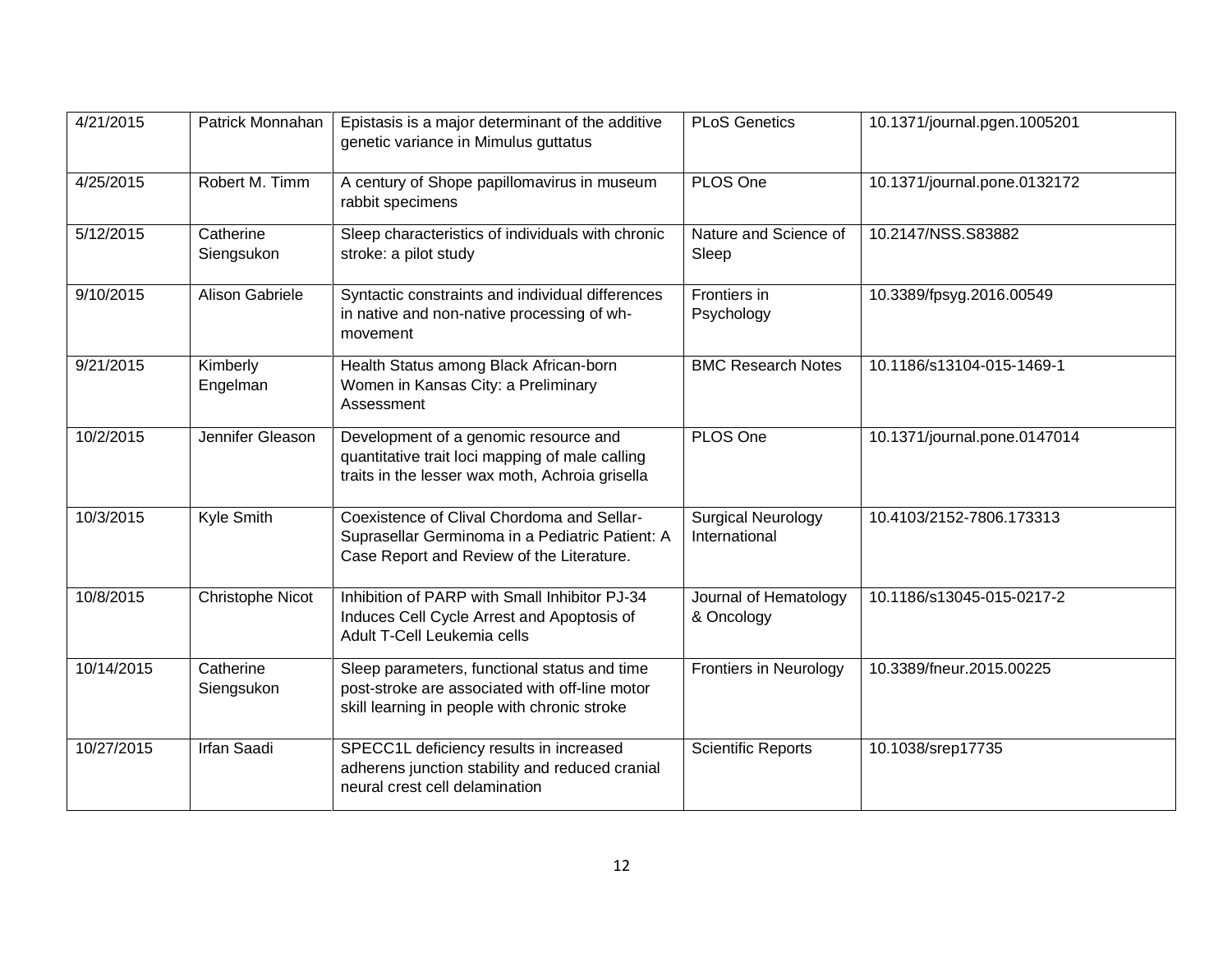| 4/21/2015  | Patrick Monnahan        | Epistasis is a major determinant of the additive<br>genetic variance in Mimulus guttatus                                                       | <b>PLoS Genetics</b>                       | 10.1371/journal.pgen.1005201 |
|------------|-------------------------|------------------------------------------------------------------------------------------------------------------------------------------------|--------------------------------------------|------------------------------|
| 4/25/2015  | Robert M. Timm          | A century of Shope papillomavirus in museum<br>rabbit specimens                                                                                | PLOS One                                   | 10.1371/journal.pone.0132172 |
| 5/12/2015  | Catherine<br>Siengsukon | Sleep characteristics of individuals with chronic<br>stroke: a pilot study                                                                     | Nature and Science of<br>Sleep             | 10.2147/NSS.S83882           |
| 9/10/2015  | Alison Gabriele         | Syntactic constraints and individual differences<br>in native and non-native processing of wh-<br>movement                                     | Frontiers in<br>Psychology                 | 10.3389/fpsyg.2016.00549     |
| 9/21/2015  | Kimberly<br>Engelman    | Health Status among Black African-born<br>Women in Kansas City: a Preliminary<br>Assessment                                                    | <b>BMC Research Notes</b>                  | 10.1186/s13104-015-1469-1    |
| 10/2/2015  | Jennifer Gleason        | Development of a genomic resource and<br>quantitative trait loci mapping of male calling<br>traits in the lesser wax moth, Achroia grisella    | PLOS One                                   | 10.1371/journal.pone.0147014 |
| 10/3/2015  | Kyle Smith              | Coexistence of Clival Chordoma and Sellar-<br>Suprasellar Germinoma in a Pediatric Patient: A<br>Case Report and Review of the Literature.     | <b>Surgical Neurology</b><br>International | 10.4103/2152-7806.173313     |
| 10/8/2015  | <b>Christophe Nicot</b> | Inhibition of PARP with Small Inhibitor PJ-34<br>Induces Cell Cycle Arrest and Apoptosis of<br>Adult T-Cell Leukemia cells                     | Journal of Hematology<br>& Oncology        | 10.1186/s13045-015-0217-2    |
| 10/14/2015 | Catherine<br>Siengsukon | Sleep parameters, functional status and time<br>post-stroke are associated with off-line motor<br>skill learning in people with chronic stroke | <b>Frontiers in Neurology</b>              | 10.3389/fneur.2015.00225     |
| 10/27/2015 | <b>Irfan Saadi</b>      | SPECC1L deficiency results in increased<br>adherens junction stability and reduced cranial<br>neural crest cell delamination                   | <b>Scientific Reports</b>                  | 10.1038/srep17735            |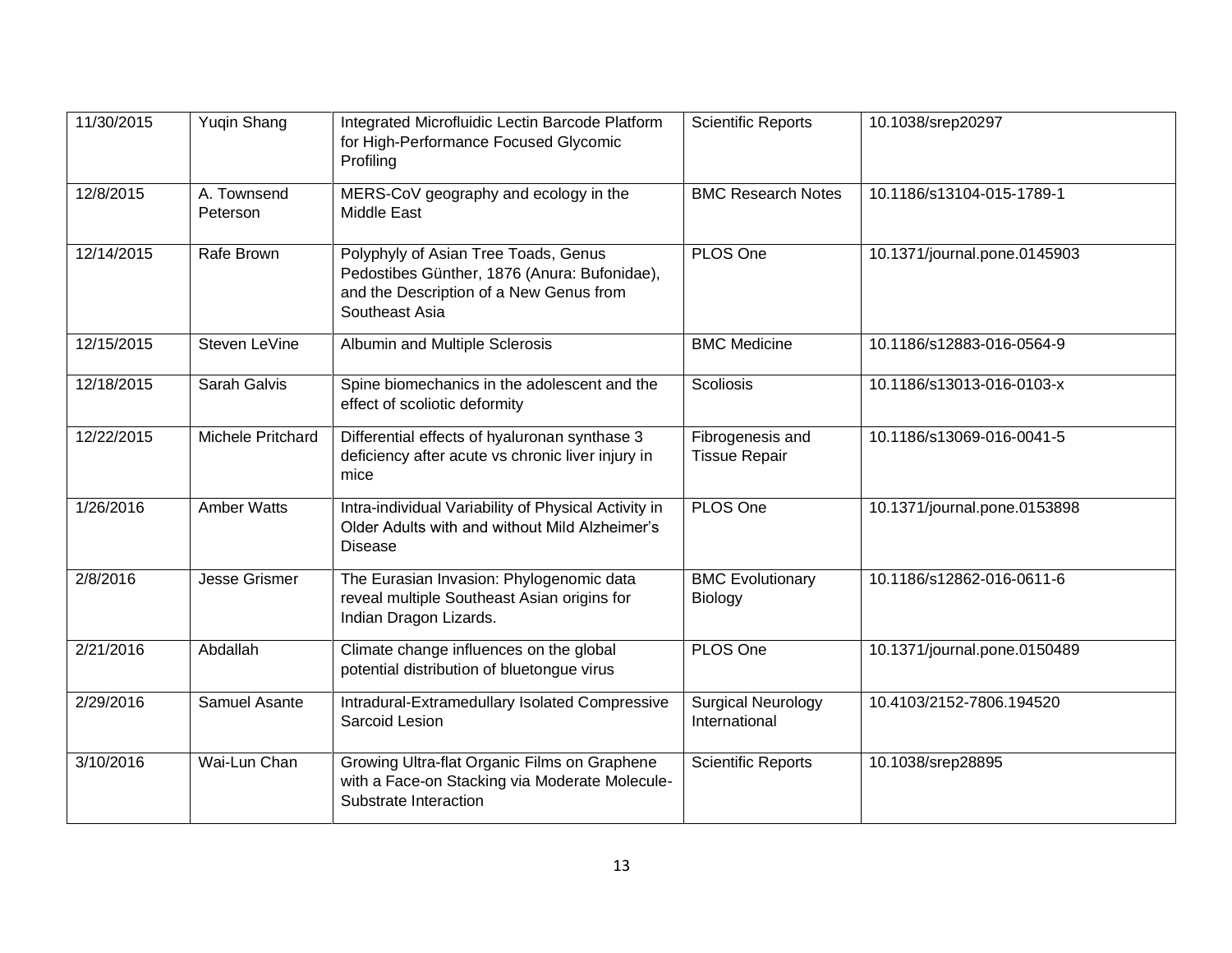| 11/30/2015 | <b>Yuqin Shang</b>      | Integrated Microfluidic Lectin Barcode Platform<br>for High-Performance Focused Glycomic<br>Profiling                                             | <b>Scientific Reports</b>                  | 10.1038/srep20297            |
|------------|-------------------------|---------------------------------------------------------------------------------------------------------------------------------------------------|--------------------------------------------|------------------------------|
| 12/8/2015  | A. Townsend<br>Peterson | MERS-CoV geography and ecology in the<br>Middle East                                                                                              | <b>BMC Research Notes</b>                  | 10.1186/s13104-015-1789-1    |
| 12/14/2015 | Rafe Brown              | Polyphyly of Asian Tree Toads, Genus<br>Pedostibes Günther, 1876 (Anura: Bufonidae),<br>and the Description of a New Genus from<br>Southeast Asia | PLOS One                                   | 10.1371/journal.pone.0145903 |
| 12/15/2015 | Steven LeVine           | Albumin and Multiple Sclerosis                                                                                                                    | <b>BMC Medicine</b>                        | 10.1186/s12883-016-0564-9    |
| 12/18/2015 | Sarah Galvis            | Spine biomechanics in the adolescent and the<br>effect of scoliotic deformity                                                                     | <b>Scoliosis</b>                           | 10.1186/s13013-016-0103-x    |
| 12/22/2015 | Michele Pritchard       | Differential effects of hyaluronan synthase 3<br>deficiency after acute vs chronic liver injury in<br>mice                                        | Fibrogenesis and<br><b>Tissue Repair</b>   | 10.1186/s13069-016-0041-5    |
| 1/26/2016  | <b>Amber Watts</b>      | Intra-individual Variability of Physical Activity in<br>Older Adults with and without Mild Alzheimer's<br><b>Disease</b>                          | PLOS One                                   | 10.1371/journal.pone.0153898 |
| 2/8/2016   | <b>Jesse Grismer</b>    | The Eurasian Invasion: Phylogenomic data<br>reveal multiple Southeast Asian origins for<br>Indian Dragon Lizards.                                 | <b>BMC Evolutionary</b><br>Biology         | 10.1186/s12862-016-0611-6    |
| 2/21/2016  | Abdallah                | Climate change influences on the global<br>potential distribution of bluetongue virus                                                             | PLOS One                                   | 10.1371/journal.pone.0150489 |
| 2/29/2016  | Samuel Asante           | Intradural-Extramedullary Isolated Compressive<br>Sarcoid Lesion                                                                                  | <b>Surgical Neurology</b><br>International | 10.4103/2152-7806.194520     |
| 3/10/2016  | Wai-Lun Chan            | Growing Ultra-flat Organic Films on Graphene<br>with a Face-on Stacking via Moderate Molecule-<br>Substrate Interaction                           | <b>Scientific Reports</b>                  | 10.1038/srep28895            |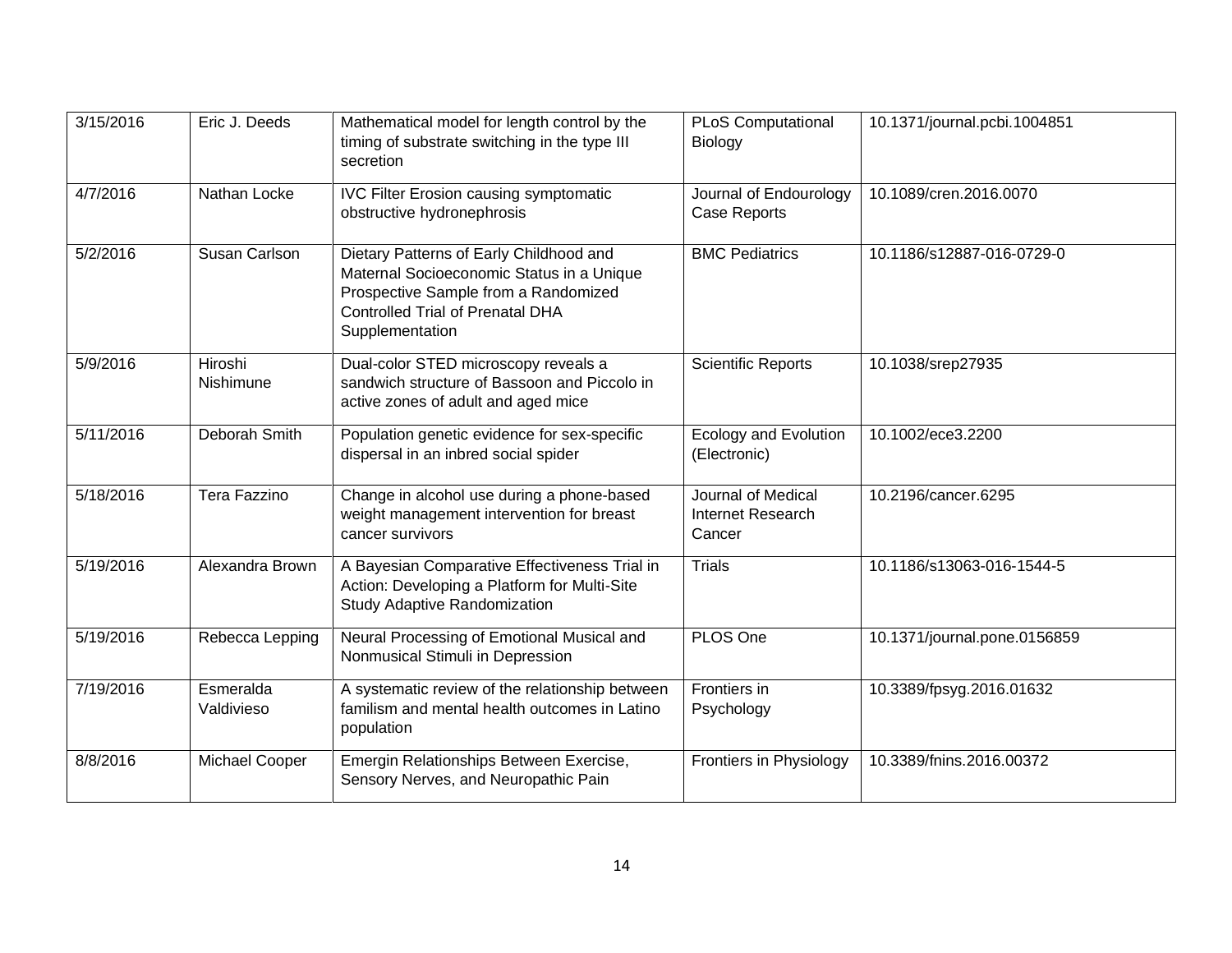| 3/15/2016 | Eric J. Deeds               | Mathematical model for length control by the<br>timing of substrate switching in the type III<br>secretion                                                                                 | <b>PLoS Computational</b><br>Biology              | 10.1371/journal.pcbi.1004851 |
|-----------|-----------------------------|--------------------------------------------------------------------------------------------------------------------------------------------------------------------------------------------|---------------------------------------------------|------------------------------|
| 4/7/2016  | Nathan Locke                | <b>IVC Filter Erosion causing symptomatic</b><br>obstructive hydronephrosis                                                                                                                | Journal of Endourology<br>Case Reports            | 10.1089/cren.2016.0070       |
| 5/2/2016  | Susan Carlson               | Dietary Patterns of Early Childhood and<br>Maternal Socioeconomic Status in a Unique<br>Prospective Sample from a Randomized<br><b>Controlled Trial of Prenatal DHA</b><br>Supplementation | <b>BMC Pediatrics</b>                             | 10.1186/s12887-016-0729-0    |
| 5/9/2016  | Hiroshi<br><b>Nishimune</b> | Dual-color STED microscopy reveals a<br>sandwich structure of Bassoon and Piccolo in<br>active zones of adult and aged mice                                                                | <b>Scientific Reports</b>                         | 10.1038/srep27935            |
| 5/11/2016 | Deborah Smith               | Population genetic evidence for sex-specific<br>dispersal in an inbred social spider                                                                                                       | <b>Ecology and Evolution</b><br>(Electronic)      | 10.1002/ece3.2200            |
| 5/18/2016 | Tera Fazzino                | Change in alcohol use during a phone-based<br>weight management intervention for breast<br>cancer survivors                                                                                | Journal of Medical<br>Internet Research<br>Cancer | 10.2196/cancer.6295          |
| 5/19/2016 | Alexandra Brown             | A Bayesian Comparative Effectiveness Trial in<br>Action: Developing a Platform for Multi-Site<br><b>Study Adaptive Randomization</b>                                                       | <b>Trials</b>                                     | 10.1186/s13063-016-1544-5    |
| 5/19/2016 | Rebecca Lepping             | Neural Processing of Emotional Musical and<br>Nonmusical Stimuli in Depression                                                                                                             | PLOS One                                          | 10.1371/journal.pone.0156859 |
| 7/19/2016 | Esmeralda<br>Valdivieso     | A systematic review of the relationship between<br>familism and mental health outcomes in Latino<br>population                                                                             | Frontiers in<br>Psychology                        | 10.3389/fpsyg.2016.01632     |
| 8/8/2016  | Michael Cooper              | Emergin Relationships Between Exercise,<br>Sensory Nerves, and Neuropathic Pain                                                                                                            | Frontiers in Physiology                           | 10.3389/fnins.2016.00372     |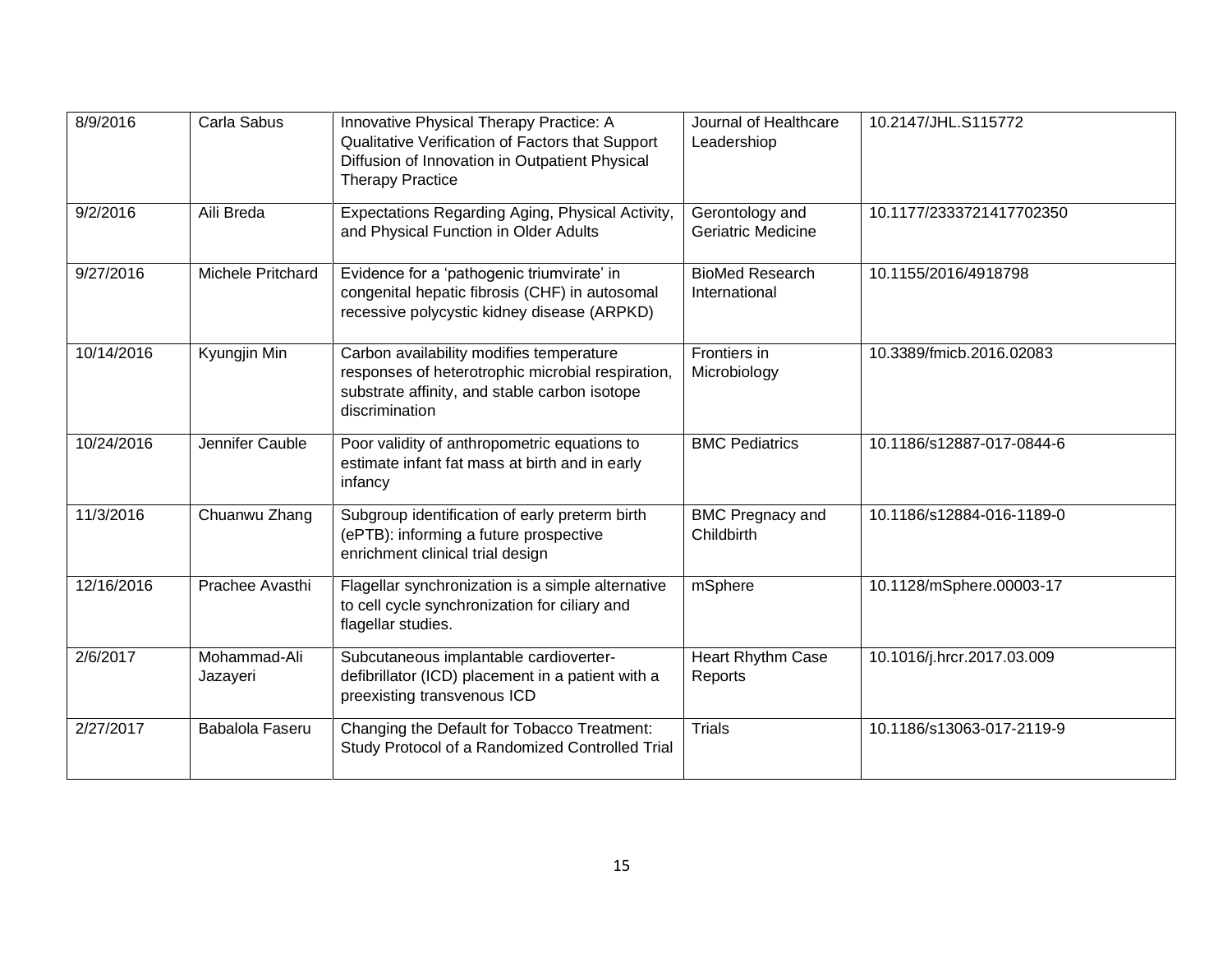| 8/9/2016   | Carla Sabus              | Innovative Physical Therapy Practice: A<br>Qualitative Verification of Factors that Support<br>Diffusion of Innovation in Outpatient Physical<br><b>Therapy Practice</b> | Journal of Healthcare<br>Leadershiop    | 10.2147/JHL.S115772        |
|------------|--------------------------|--------------------------------------------------------------------------------------------------------------------------------------------------------------------------|-----------------------------------------|----------------------------|
| 9/2/2016   | Aili Breda               | Expectations Regarding Aging, Physical Activity,<br>and Physical Function in Older Adults                                                                                | Gerontology and<br>Geriatric Medicine   | 10.1177/2333721417702350   |
| 9/27/2016  | Michele Pritchard        | Evidence for a 'pathogenic triumvirate' in<br>congenital hepatic fibrosis (CHF) in autosomal<br>recessive polycystic kidney disease (ARPKD)                              | <b>BioMed Research</b><br>International | 10.1155/2016/4918798       |
| 10/14/2016 | Kyungjin Min             | Carbon availability modifies temperature<br>responses of heterotrophic microbial respiration,<br>substrate affinity, and stable carbon isotope<br>discrimination         | Frontiers in<br>Microbiology            | 10.3389/fmicb.2016.02083   |
| 10/24/2016 | Jennifer Cauble          | Poor validity of anthropometric equations to<br>estimate infant fat mass at birth and in early<br>infancy                                                                | <b>BMC Pediatrics</b>                   | 10.1186/s12887-017-0844-6  |
| 11/3/2016  | Chuanwu Zhang            | Subgroup identification of early preterm birth<br>(ePTB): informing a future prospective<br>enrichment clinical trial design                                             | <b>BMC Pregnacy and</b><br>Childbirth   | 10.1186/s12884-016-1189-0  |
| 12/16/2016 | Prachee Avasthi          | Flagellar synchronization is a simple alternative<br>to cell cycle synchronization for ciliary and<br>flagellar studies.                                                 | mSphere                                 | 10.1128/mSphere.00003-17   |
| 2/6/2017   | Mohammad-Ali<br>Jazayeri | Subcutaneous implantable cardioverter-<br>defibrillator (ICD) placement in a patient with a<br>preexisting transvenous ICD                                               | Heart Rhythm Case<br>Reports            | 10.1016/j.hrcr.2017.03.009 |
| 2/27/2017  | Babalola Faseru          | Changing the Default for Tobacco Treatment:<br>Study Protocol of a Randomized Controlled Trial                                                                           | <b>Trials</b>                           | 10.1186/s13063-017-2119-9  |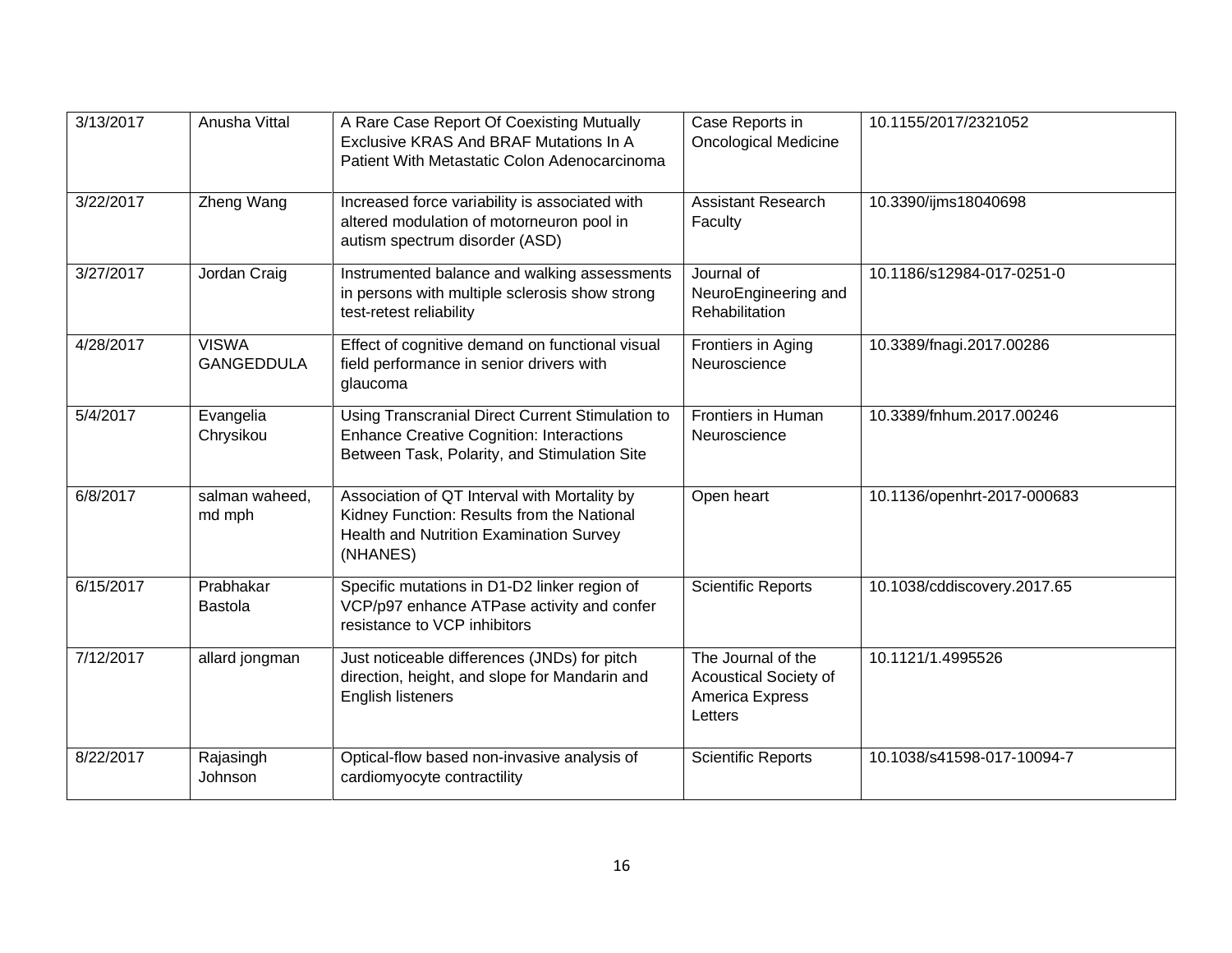| 3/13/2017 | Anusha Vittal                     | A Rare Case Report Of Coexisting Mutually<br>Exclusive KRAS And BRAF Mutations In A<br>Patient With Metastatic Colon Adenocarcinoma                 | Case Reports in<br><b>Oncological Medicine</b>                            | 10.1155/2017/2321052        |
|-----------|-----------------------------------|-----------------------------------------------------------------------------------------------------------------------------------------------------|---------------------------------------------------------------------------|-----------------------------|
| 3/22/2017 | Zheng Wang                        | Increased force variability is associated with<br>altered modulation of motorneuron pool in<br>autism spectrum disorder (ASD)                       | <b>Assistant Research</b><br>Faculty                                      | 10.3390/ijms18040698        |
| 3/27/2017 | Jordan Craig                      | Instrumented balance and walking assessments<br>in persons with multiple sclerosis show strong<br>test-retest reliability                           | Journal of<br>NeuroEngineering and<br>Rehabilitation                      | 10.1186/s12984-017-0251-0   |
| 4/28/2017 | <b>VISWA</b><br><b>GANGEDDULA</b> | Effect of cognitive demand on functional visual<br>field performance in senior drivers with<br>glaucoma                                             | Frontiers in Aging<br>Neuroscience                                        | 10.3389/fnagi.2017.00286    |
| 5/4/2017  | Evangelia<br>Chrysikou            | Using Transcranial Direct Current Stimulation to<br><b>Enhance Creative Cognition: Interactions</b><br>Between Task, Polarity, and Stimulation Site | Frontiers in Human<br>Neuroscience                                        | 10.3389/fnhum.2017.00246    |
| 6/8/2017  | salman waheed,<br>md mph          | Association of QT Interval with Mortality by<br>Kidney Function: Results from the National<br>Health and Nutrition Examination Survey<br>(NHANES)   | Open heart                                                                | 10.1136/openhrt-2017-000683 |
| 6/15/2017 | Prabhakar<br><b>Bastola</b>       | Specific mutations in D1-D2 linker region of<br>VCP/p97 enhance ATPase activity and confer<br>resistance to VCP inhibitors                          | <b>Scientific Reports</b>                                                 | 10.1038/cddiscovery.2017.65 |
| 7/12/2017 | allard jongman                    | Just noticeable differences (JNDs) for pitch<br>direction, height, and slope for Mandarin and<br>English listeners                                  | The Journal of the<br>Acoustical Society of<br>America Express<br>Letters | 10.1121/1.4995526           |
| 8/22/2017 | Rajasingh<br>Johnson              | Optical-flow based non-invasive analysis of<br>cardiomyocyte contractility                                                                          | <b>Scientific Reports</b>                                                 | 10.1038/s41598-017-10094-7  |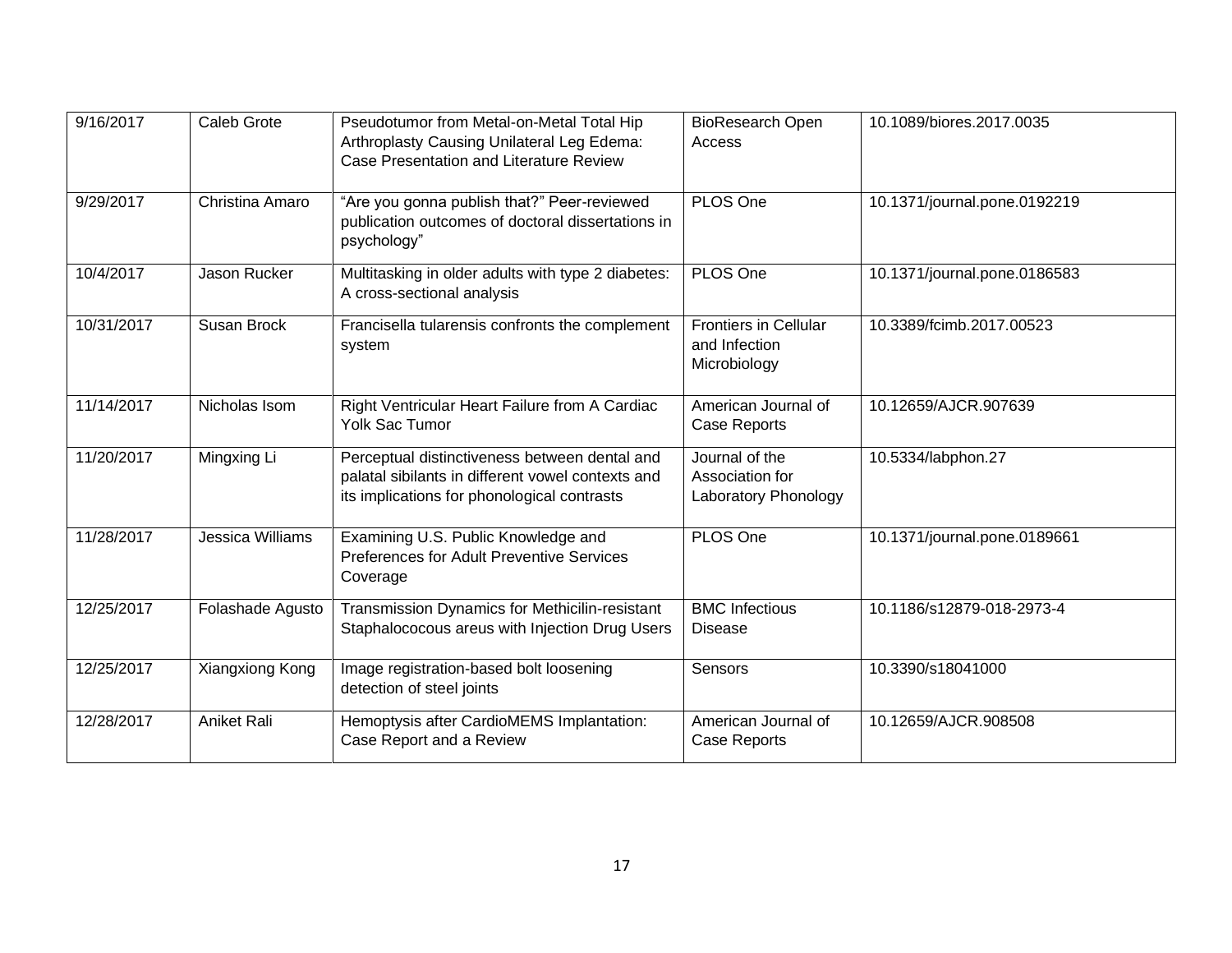| 9/16/2017  | Caleb Grote      | Pseudotumor from Metal-on-Metal Total Hip<br>Arthroplasty Causing Unilateral Leg Edema:<br>Case Presentation and Literature Review                | <b>BioResearch Open</b><br>Access                             | 10.1089/biores.2017.0035     |
|------------|------------------|---------------------------------------------------------------------------------------------------------------------------------------------------|---------------------------------------------------------------|------------------------------|
| 9/29/2017  | Christina Amaro  | "Are you gonna publish that?" Peer-reviewed<br>publication outcomes of doctoral dissertations in<br>psychology"                                   | PLOS One                                                      | 10.1371/journal.pone.0192219 |
| 10/4/2017  | Jason Rucker     | Multitasking in older adults with type 2 diabetes:<br>A cross-sectional analysis                                                                  | PLOS One                                                      | 10.1371/journal.pone.0186583 |
| 10/31/2017 | Susan Brock      | Francisella tularensis confronts the complement<br>system                                                                                         | <b>Frontiers in Cellular</b><br>and Infection<br>Microbiology | 10.3389/fcimb.2017.00523     |
| 11/14/2017 | Nicholas Isom    | Right Ventricular Heart Failure from A Cardiac<br><b>Yolk Sac Tumor</b>                                                                           | American Journal of<br>Case Reports                           | 10.12659/AJCR.907639         |
| 11/20/2017 | Mingxing Li      | Perceptual distinctiveness between dental and<br>palatal sibilants in different vowel contexts and<br>its implications for phonological contrasts | Journal of the<br>Association for<br>Laboratory Phonology     | 10.5334/labphon.27           |
| 11/28/2017 | Jessica Williams | Examining U.S. Public Knowledge and<br>Preferences for Adult Preventive Services<br>Coverage                                                      | PLOS One                                                      | 10.1371/journal.pone.0189661 |
| 12/25/2017 | Folashade Agusto | Transmission Dynamics for Methicilin-resistant<br>Staphalococous areus with Injection Drug Users                                                  | <b>BMC Infectious</b><br><b>Disease</b>                       | 10.1186/s12879-018-2973-4    |
| 12/25/2017 | Xiangxiong Kong  | Image registration-based bolt loosening<br>detection of steel joints                                                                              | <b>Sensors</b>                                                | 10.3390/s18041000            |
| 12/28/2017 | Aniket Rali      | Hemoptysis after CardioMEMS Implantation:<br>Case Report and a Review                                                                             | American Journal of<br>Case Reports                           | 10.12659/AJCR.908508         |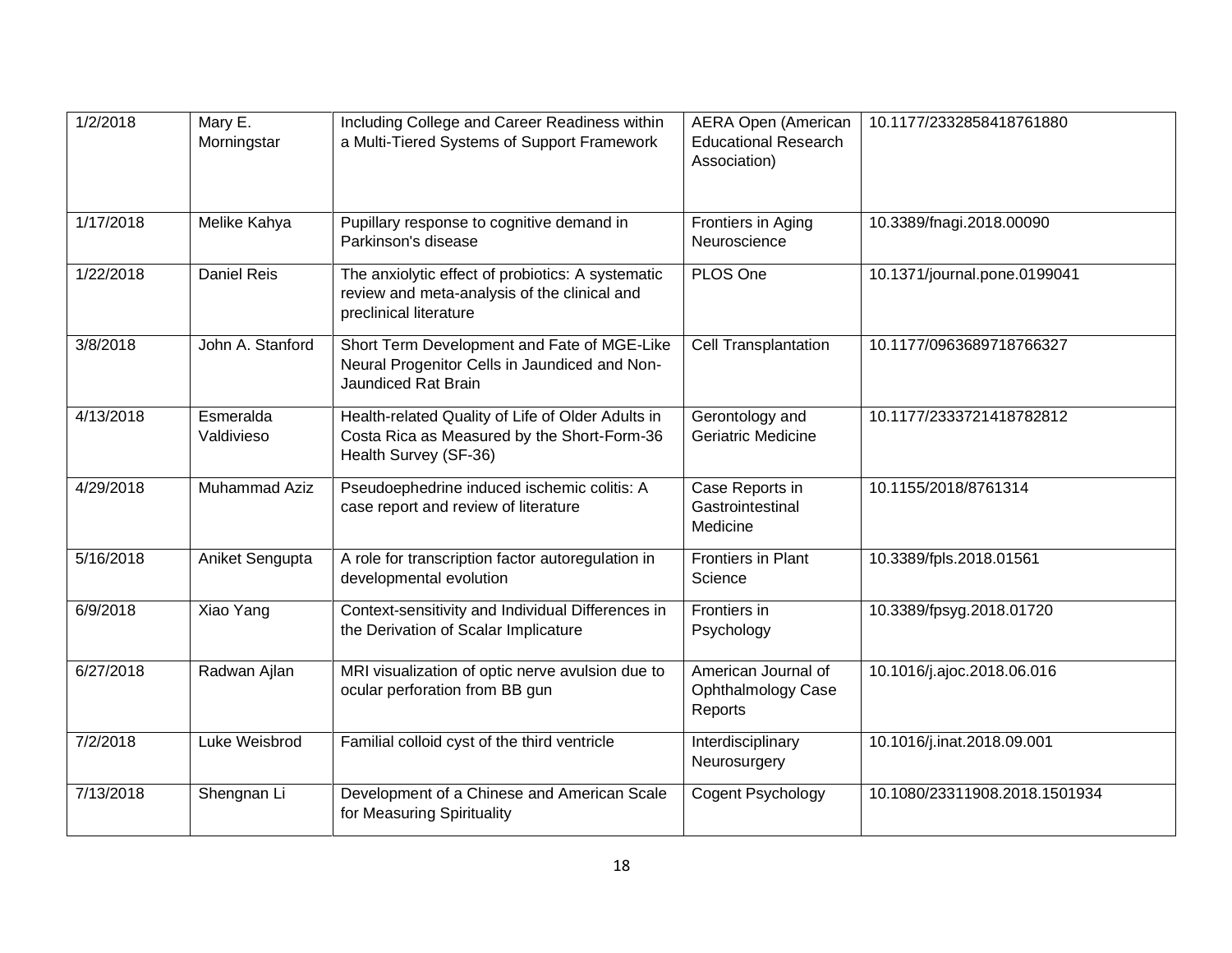| 1/2/2018  | Mary E.<br>Morningstar  | Including College and Career Readiness within<br>a Multi-Tiered Systems of Support Framework                                | <b>AERA Open (American</b><br><b>Educational Research</b><br>Association) | 10.1177/2332858418761880      |
|-----------|-------------------------|-----------------------------------------------------------------------------------------------------------------------------|---------------------------------------------------------------------------|-------------------------------|
| 1/17/2018 | Melike Kahya            | Pupillary response to cognitive demand in<br>Parkinson's disease                                                            | Frontiers in Aging<br>Neuroscience                                        | 10.3389/fnagi.2018.00090      |
| 1/22/2018 | Daniel Reis             | The anxiolytic effect of probiotics: A systematic<br>review and meta-analysis of the clinical and<br>preclinical literature | PLOS One                                                                  | 10.1371/journal.pone.0199041  |
| 3/8/2018  | John A. Stanford        | Short Term Development and Fate of MGE-Like<br>Neural Progenitor Cells in Jaundiced and Non-<br>Jaundiced Rat Brain         | Cell Transplantation                                                      | 10.1177/0963689718766327      |
| 4/13/2018 | Esmeralda<br>Valdivieso | Health-related Quality of Life of Older Adults in<br>Costa Rica as Measured by the Short-Form-36<br>Health Survey (SF-36)   | Gerontology and<br>Geriatric Medicine                                     | 10.1177/2333721418782812      |
| 4/29/2018 | <b>Muhammad Aziz</b>    | Pseudoephedrine induced ischemic colitis: A<br>case report and review of literature                                         | Case Reports in<br>Gastrointestinal<br>Medicine                           | 10.1155/2018/8761314          |
| 5/16/2018 | Aniket Sengupta         | A role for transcription factor autoregulation in<br>developmental evolution                                                | Frontiers in Plant<br>Science                                             | 10.3389/fpls.2018.01561       |
| 6/9/2018  | Xiao Yang               | Context-sensitivity and Individual Differences in<br>the Derivation of Scalar Implicature                                   | Frontiers in<br>Psychology                                                | 10.3389/fpsyg.2018.01720      |
| 6/27/2018 | Radwan Ajlan            | MRI visualization of optic nerve avulsion due to<br>ocular perforation from BB gun                                          | American Journal of<br>Ophthalmology Case<br>Reports                      | 10.1016/j.ajoc.2018.06.016    |
| 7/2/2018  | Luke Weisbrod           | Familial colloid cyst of the third ventricle                                                                                | Interdisciplinary<br>Neurosurgery                                         | 10.1016/j.inat.2018.09.001    |
| 7/13/2018 | Shengnan Li             | Development of a Chinese and American Scale<br>for Measuring Spirituality                                                   | Cogent Psychology                                                         | 10.1080/23311908.2018.1501934 |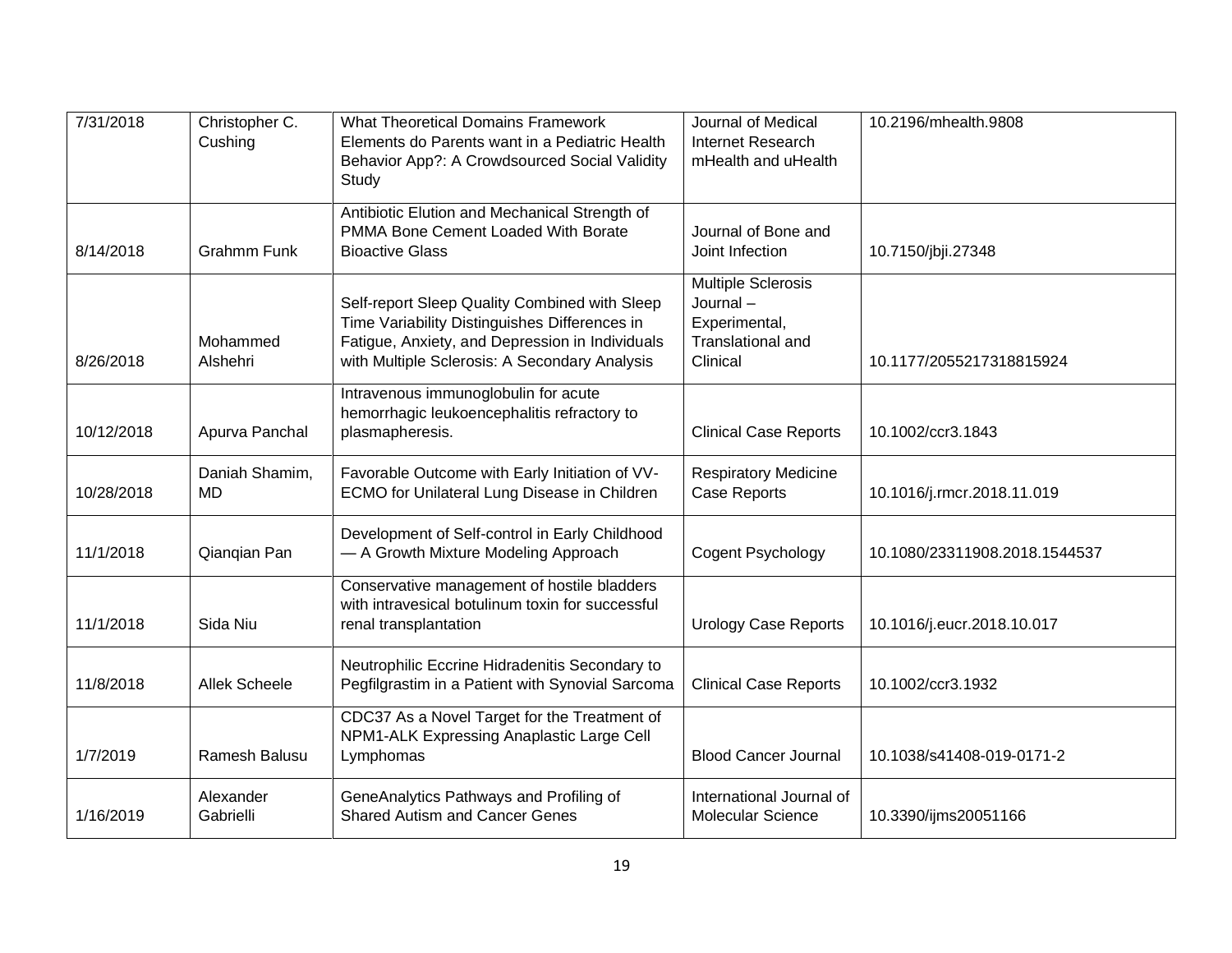| 7/31/2018  | Christopher C.<br>Cushing   | <b>What Theoretical Domains Framework</b><br>Elements do Parents want in a Pediatric Health<br>Behavior App?: A Crowdsourced Social Validity<br>Study                                              | Journal of Medical<br>Internet Research<br>mHealth and uHealth                          | 10.2196/mhealth.9808          |
|------------|-----------------------------|----------------------------------------------------------------------------------------------------------------------------------------------------------------------------------------------------|-----------------------------------------------------------------------------------------|-------------------------------|
| 8/14/2018  | <b>Grahmm Funk</b>          | Antibiotic Elution and Mechanical Strength of<br>PMMA Bone Cement Loaded With Borate<br><b>Bioactive Glass</b>                                                                                     | Journal of Bone and<br>Joint Infection                                                  | 10.7150/jbji.27348            |
| 8/26/2018  | Mohammed<br>Alshehri        | Self-report Sleep Quality Combined with Sleep<br>Time Variability Distinguishes Differences in<br>Fatigue, Anxiety, and Depression in Individuals<br>with Multiple Sclerosis: A Secondary Analysis | <b>Multiple Sclerosis</b><br>Journal-<br>Experimental,<br>Translational and<br>Clinical | 10.1177/2055217318815924      |
| 10/12/2018 | Apurva Panchal              | Intravenous immunoglobulin for acute<br>hemorrhagic leukoencephalitis refractory to<br>plasmapheresis.                                                                                             | <b>Clinical Case Reports</b>                                                            | 10.1002/ccr3.1843             |
| 10/28/2018 | Daniah Shamim,<br><b>MD</b> | Favorable Outcome with Early Initiation of VV-<br><b>ECMO for Unilateral Lung Disease in Children</b>                                                                                              | <b>Respiratory Medicine</b><br><b>Case Reports</b>                                      | 10.1016/j.rmcr.2018.11.019    |
| 11/1/2018  | Qianqian Pan                | Development of Self-control in Early Childhood<br>- A Growth Mixture Modeling Approach                                                                                                             | Cogent Psychology                                                                       | 10.1080/23311908.2018.1544537 |
| 11/1/2018  | Sida Niu                    | Conservative management of hostile bladders<br>with intravesical botulinum toxin for successful<br>renal transplantation                                                                           | <b>Urology Case Reports</b>                                                             | 10.1016/j.eucr.2018.10.017    |
| 11/8/2018  | <b>Allek Scheele</b>        | Neutrophilic Eccrine Hidradenitis Secondary to<br>Pegfilgrastim in a Patient with Synovial Sarcoma                                                                                                 | <b>Clinical Case Reports</b>                                                            | 10.1002/ccr3.1932             |
| 1/7/2019   | Ramesh Balusu               | CDC37 As a Novel Target for the Treatment of<br>NPM1-ALK Expressing Anaplastic Large Cell<br>Lymphomas                                                                                             | <b>Blood Cancer Journal</b>                                                             | 10.1038/s41408-019-0171-2     |
| 1/16/2019  | Alexander<br>Gabrielli      | GeneAnalytics Pathways and Profiling of<br><b>Shared Autism and Cancer Genes</b>                                                                                                                   | International Journal of<br><b>Molecular Science</b>                                    | 10.3390/ijms20051166          |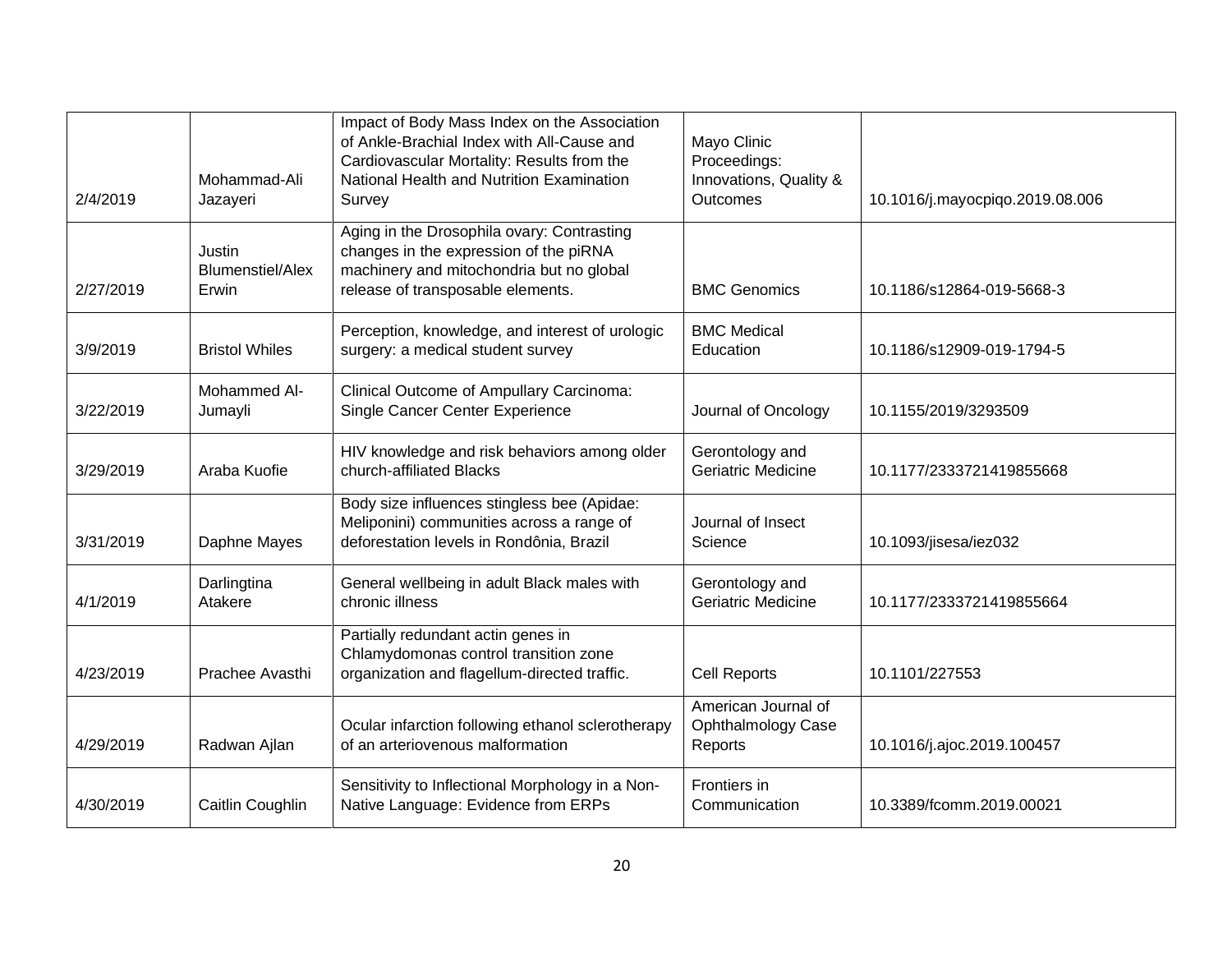| 2/4/2019  | Mohammad-Ali<br>Jazayeri                   | Impact of Body Mass Index on the Association<br>of Ankle-Brachial Index with All-Cause and<br>Cardiovascular Mortality: Results from the<br>National Health and Nutrition Examination<br>Survey | Mayo Clinic<br>Proceedings:<br>Innovations, Quality &<br><b>Outcomes</b> | 10.1016/j.mayocpiqo.2019.08.006 |
|-----------|--------------------------------------------|-------------------------------------------------------------------------------------------------------------------------------------------------------------------------------------------------|--------------------------------------------------------------------------|---------------------------------|
| 2/27/2019 | Justin<br><b>Blumenstiel/Alex</b><br>Erwin | Aging in the Drosophila ovary: Contrasting<br>changes in the expression of the piRNA<br>machinery and mitochondria but no global<br>release of transposable elements.                           | <b>BMC Genomics</b>                                                      | 10.1186/s12864-019-5668-3       |
| 3/9/2019  | <b>Bristol Whiles</b>                      | Perception, knowledge, and interest of urologic<br>surgery: a medical student survey                                                                                                            | <b>BMC Medical</b><br>Education                                          | 10.1186/s12909-019-1794-5       |
| 3/22/2019 | Mohammed Al-<br>Jumayli                    | Clinical Outcome of Ampullary Carcinoma:<br>Single Cancer Center Experience                                                                                                                     | Journal of Oncology                                                      | 10.1155/2019/3293509            |
| 3/29/2019 | Araba Kuofie                               | HIV knowledge and risk behaviors among older<br>church-affiliated Blacks                                                                                                                        | Gerontology and<br>Geriatric Medicine                                    | 10.1177/2333721419855668        |
| 3/31/2019 | Daphne Mayes                               | Body size influences stingless bee (Apidae:<br>Meliponini) communities across a range of<br>deforestation levels in Rondônia, Brazil                                                            | Journal of Insect<br>Science                                             | 10.1093/jisesa/iez032           |
| 4/1/2019  | Darlingtina<br>Atakere                     | General wellbeing in adult Black males with<br>chronic illness                                                                                                                                  | Gerontology and<br>Geriatric Medicine                                    | 10.1177/2333721419855664        |
| 4/23/2019 | Prachee Avasthi                            | Partially redundant actin genes in<br>Chlamydomonas control transition zone<br>organization and flagellum-directed traffic.                                                                     | Cell Reports                                                             | 10.1101/227553                  |
| 4/29/2019 | Radwan Ajlan                               | Ocular infarction following ethanol sclerotherapy<br>of an arteriovenous malformation                                                                                                           | American Journal of<br>Ophthalmology Case<br>Reports                     | 10.1016/j.ajoc.2019.100457      |
| 4/30/2019 | Caitlin Coughlin                           | Sensitivity to Inflectional Morphology in a Non-<br>Native Language: Evidence from ERPs                                                                                                         | Frontiers in<br>Communication                                            | 10.3389/fcomm.2019.00021        |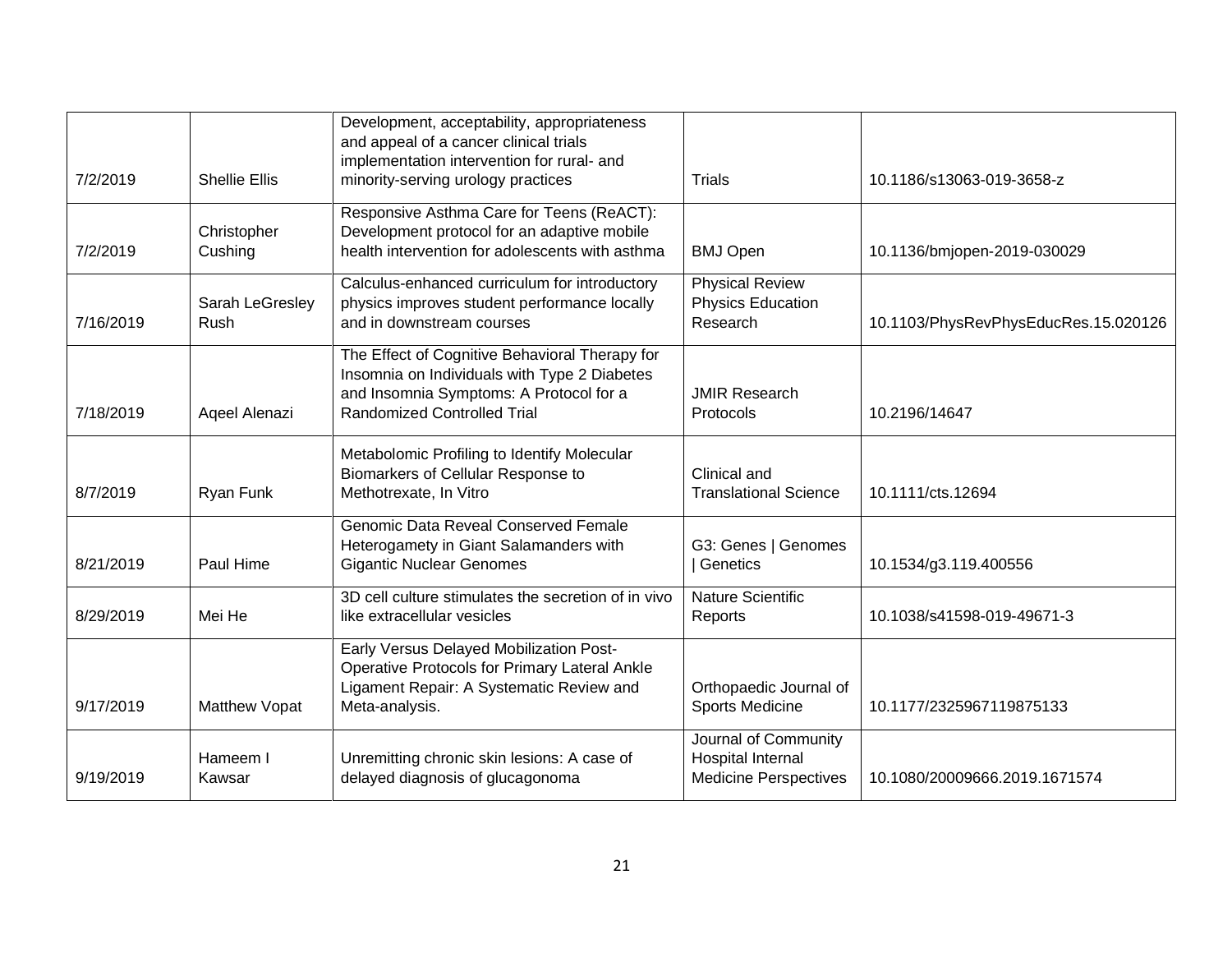|           |                         | Development, acceptability, appropriateness<br>and appeal of a cancer clinical trials<br>implementation intervention for rural- and                                             |                                                                           |                                      |
|-----------|-------------------------|---------------------------------------------------------------------------------------------------------------------------------------------------------------------------------|---------------------------------------------------------------------------|--------------------------------------|
| 7/2/2019  | <b>Shellie Ellis</b>    | minority-serving urology practices                                                                                                                                              | Trials                                                                    | 10.1186/s13063-019-3658-z            |
| 7/2/2019  | Christopher<br>Cushing  | Responsive Asthma Care for Teens (ReACT):<br>Development protocol for an adaptive mobile<br>health intervention for adolescents with asthma                                     | <b>BMJ Open</b>                                                           | 10.1136/bmjopen-2019-030029          |
| 7/16/2019 | Sarah LeGresley<br>Rush | Calculus-enhanced curriculum for introductory<br>physics improves student performance locally<br>and in downstream courses                                                      | <b>Physical Review</b><br><b>Physics Education</b><br>Research            | 10.1103/PhysRevPhysEducRes.15.020126 |
| 7/18/2019 | Aqeel Alenazi           | The Effect of Cognitive Behavioral Therapy for<br>Insomnia on Individuals with Type 2 Diabetes<br>and Insomnia Symptoms: A Protocol for a<br><b>Randomized Controlled Trial</b> | <b>JMIR Research</b><br>Protocols                                         | 10.2196/14647                        |
| 8/7/2019  | Ryan Funk               | Metabolomic Profiling to Identify Molecular<br>Biomarkers of Cellular Response to<br>Methotrexate, In Vitro                                                                     | Clinical and<br><b>Translational Science</b>                              | 10.1111/cts.12694                    |
| 8/21/2019 | Paul Hime               | Genomic Data Reveal Conserved Female<br>Heterogamety in Giant Salamanders with<br><b>Gigantic Nuclear Genomes</b>                                                               | G3: Genes   Genomes<br>Genetics                                           | 10.1534/g3.119.400556                |
| 8/29/2019 | Mei He                  | 3D cell culture stimulates the secretion of in vivo<br>like extracellular vesicles                                                                                              | <b>Nature Scientific</b><br>Reports                                       | 10.1038/s41598-019-49671-3           |
| 9/17/2019 | Matthew Vopat           | Early Versus Delayed Mobilization Post-<br>Operative Protocols for Primary Lateral Ankle<br>Ligament Repair: A Systematic Review and<br>Meta-analysis.                          | Orthopaedic Journal of<br>Sports Medicine                                 | 10.1177/2325967119875133             |
| 9/19/2019 | Hameem I<br>Kawsar      | Unremitting chronic skin lesions: A case of<br>delayed diagnosis of glucagonoma                                                                                                 | Journal of Community<br>Hospital Internal<br><b>Medicine Perspectives</b> | 10.1080/20009666.2019.1671574        |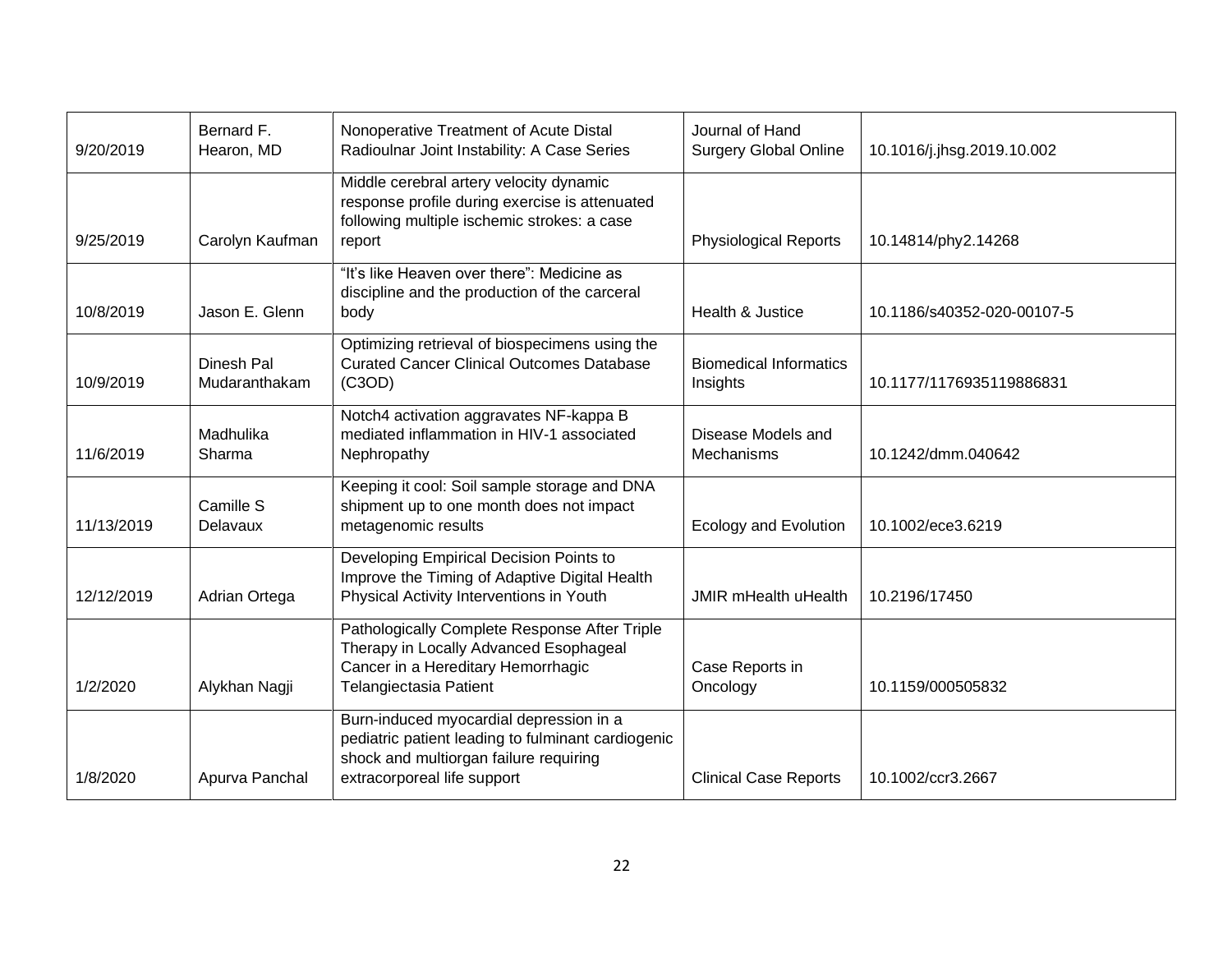| 9/20/2019  | Bernard F.<br>Hearon, MD    | Nonoperative Treatment of Acute Distal<br>Radioulnar Joint Instability: A Case Series                                                                                  | Journal of Hand<br><b>Surgery Global Online</b> | 10.1016/j.jhsg.2019.10.002 |
|------------|-----------------------------|------------------------------------------------------------------------------------------------------------------------------------------------------------------------|-------------------------------------------------|----------------------------|
|            |                             | Middle cerebral artery velocity dynamic<br>response profile during exercise is attenuated<br>following multiple ischemic strokes: a case                               |                                                 |                            |
| 9/25/2019  | Carolyn Kaufman             | report                                                                                                                                                                 | <b>Physiological Reports</b>                    | 10.14814/phy2.14268        |
|            |                             | "It's like Heaven over there": Medicine as<br>discipline and the production of the carceral                                                                            |                                                 |                            |
| 10/8/2019  | Jason E. Glenn              | body                                                                                                                                                                   | Health & Justice                                | 10.1186/s40352-020-00107-5 |
| 10/9/2019  | Dinesh Pal<br>Mudaranthakam | Optimizing retrieval of biospecimens using the<br><b>Curated Cancer Clinical Outcomes Database</b><br>(C3OD)                                                           | <b>Biomedical Informatics</b><br>Insights       | 10.1177/1176935119886831   |
| 11/6/2019  | Madhulika<br>Sharma         | Notch4 activation aggravates NF-kappa B<br>mediated inflammation in HIV-1 associated<br>Nephropathy                                                                    | Disease Models and<br>Mechanisms                | 10.1242/dmm.040642         |
| 11/13/2019 | Camille S<br>Delavaux       | Keeping it cool: Soil sample storage and DNA<br>shipment up to one month does not impact<br>metagenomic results                                                        | <b>Ecology and Evolution</b>                    | 10.1002/ece3.6219          |
| 12/12/2019 | Adrian Ortega               | Developing Empirical Decision Points to<br>Improve the Timing of Adaptive Digital Health<br>Physical Activity Interventions in Youth                                   | <b>JMIR mHealth uHealth</b>                     | 10.2196/17450              |
| 1/2/2020   | Alykhan Nagji               | Pathologically Complete Response After Triple<br>Therapy in Locally Advanced Esophageal<br>Cancer in a Hereditary Hemorrhagic<br>Telangiectasia Patient                | Case Reports in<br>Oncology                     | 10.1159/000505832          |
| 1/8/2020   | Apurva Panchal              | Burn-induced myocardial depression in a<br>pediatric patient leading to fulminant cardiogenic<br>shock and multiorgan failure requiring<br>extracorporeal life support | <b>Clinical Case Reports</b>                    | 10.1002/ccr3.2667          |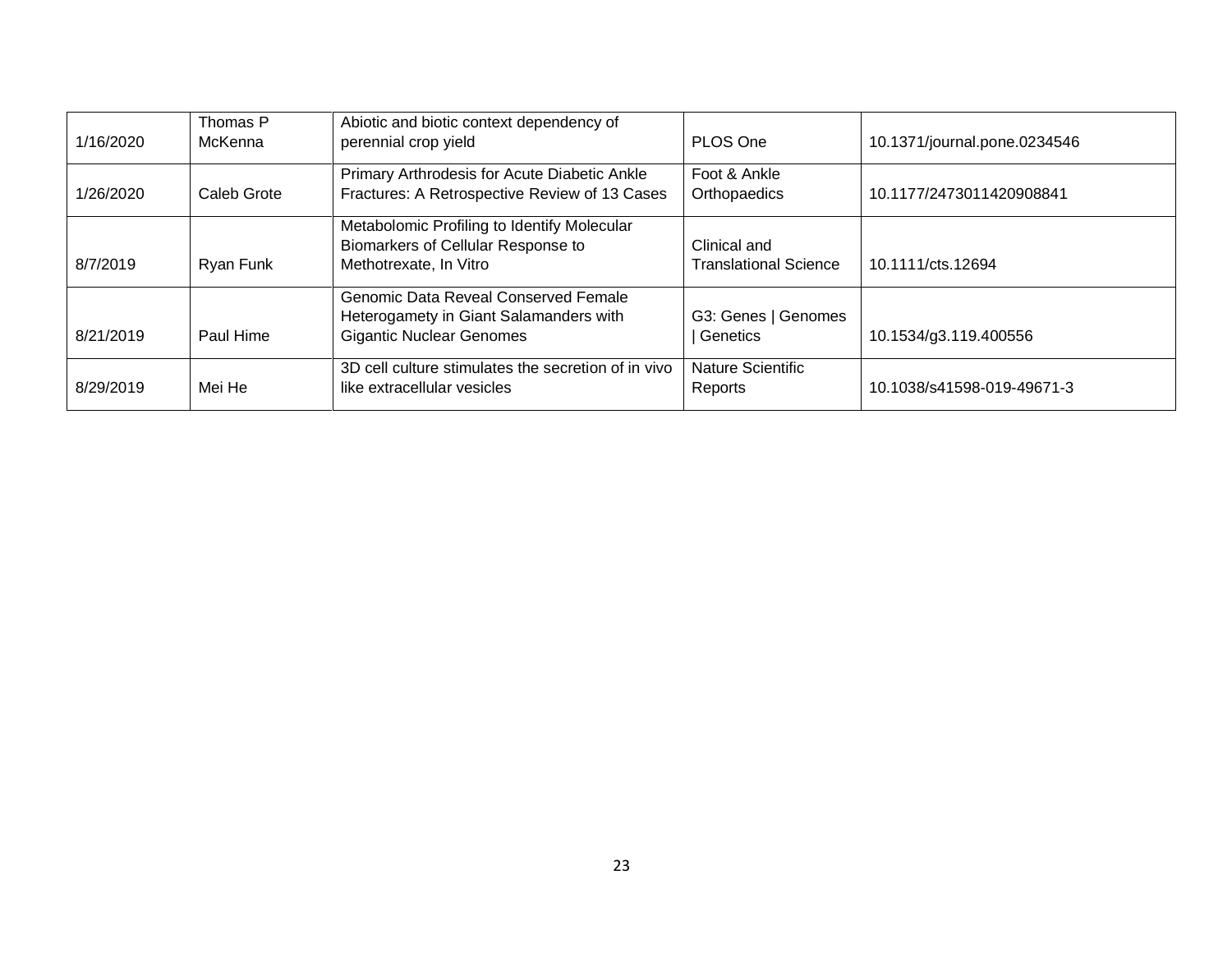| 1/16/2020 | Thomas P<br><b>McKenna</b> | Abiotic and biotic context dependency of<br>perennial crop yield                                                  | PLOS One                                     | 10.1371/journal.pone.0234546 |
|-----------|----------------------------|-------------------------------------------------------------------------------------------------------------------|----------------------------------------------|------------------------------|
| 1/26/2020 | Caleb Grote                | Primary Arthrodesis for Acute Diabetic Ankle<br>Fractures: A Retrospective Review of 13 Cases                     | Foot & Ankle<br>Orthopaedics                 | 10.1177/2473011420908841     |
| 8/7/2019  | Ryan Funk                  | Metabolomic Profiling to Identify Molecular<br>Biomarkers of Cellular Response to<br>Methotrexate, In Vitro       | Clinical and<br><b>Translational Science</b> | 10.1111/cts.12694            |
| 8/21/2019 | Paul Hime                  | Genomic Data Reveal Conserved Female<br>Heterogamety in Giant Salamanders with<br><b>Gigantic Nuclear Genomes</b> | G3: Genes   Genomes<br>Genetics              | 10.1534/g3.119.400556        |
| 8/29/2019 | Mei He                     | 3D cell culture stimulates the secretion of in vivo<br>like extracellular vesicles                                | Nature Scientific<br>Reports                 | 10.1038/s41598-019-49671-3   |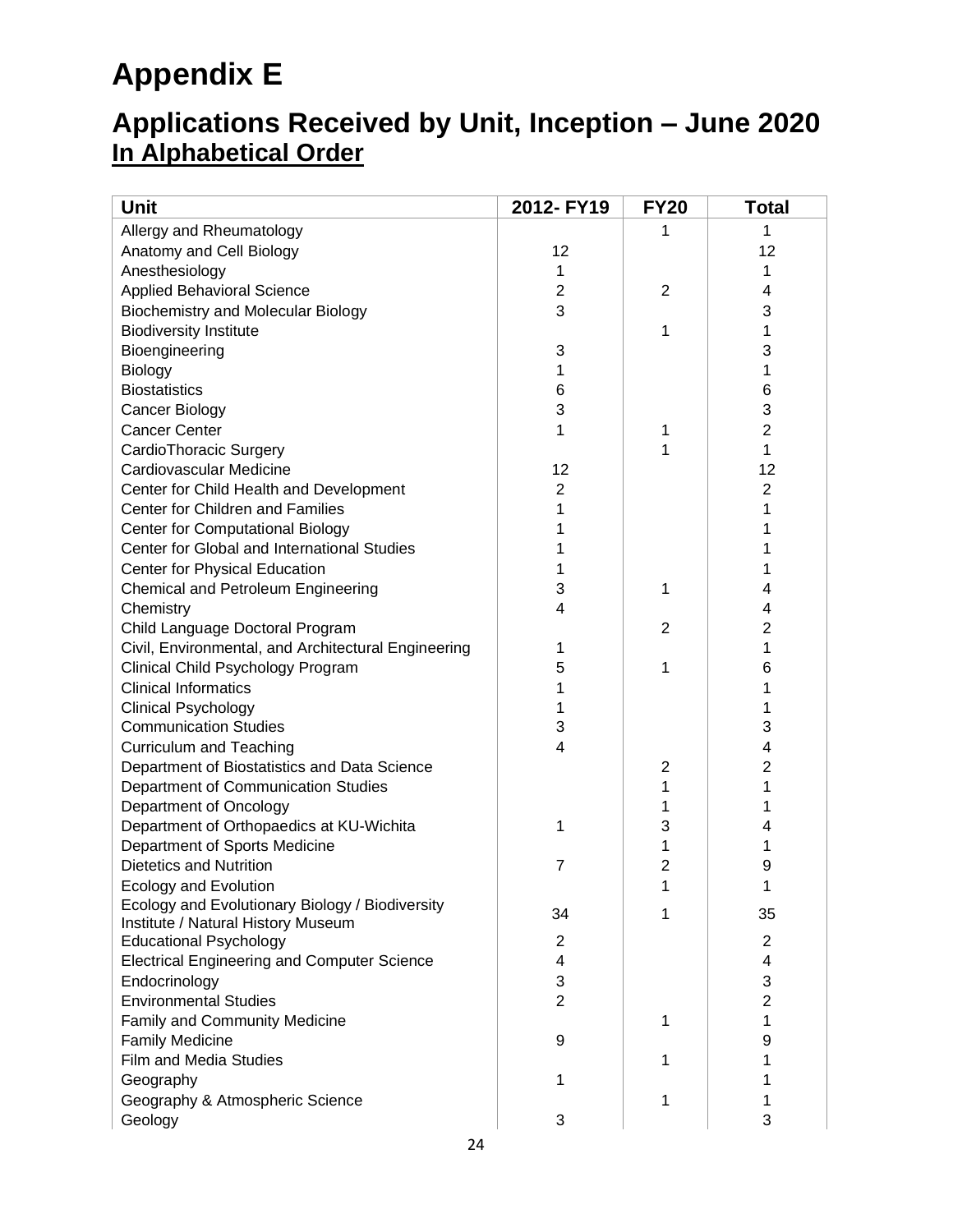# **Appendix E**

## **Applications Received by Unit, Inception – June 2020 In Alphabetical Order**

| <b>Unit</b>                                         | 2012- FY19     | <b>FY20</b>    | <b>Total</b>   |
|-----------------------------------------------------|----------------|----------------|----------------|
| Allergy and Rheumatology                            |                | 1              | 1              |
| Anatomy and Cell Biology                            | 12             |                | 12             |
| Anesthesiology                                      | 1              |                | 1              |
| <b>Applied Behavioral Science</b>                   | 2              | 2              | 4              |
| <b>Biochemistry and Molecular Biology</b>           | 3              |                | 3              |
| <b>Biodiversity Institute</b>                       |                | 1              | 1              |
| Bioengineering                                      | 3              |                | 3              |
| <b>Biology</b>                                      | 1              |                | 1              |
| <b>Biostatistics</b>                                | 6              |                | 6              |
| Cancer Biology                                      | 3              |                | 3              |
| <b>Cancer Center</b>                                | 1              | 1              | 2              |
| CardioThoracic Surgery                              |                | 1              | 1              |
| Cardiovascular Medicine                             | 12             |                | 12             |
| Center for Child Health and Development             | 2              |                | 2              |
| Center for Children and Families                    | 1              |                | 1              |
| <b>Center for Computational Biology</b>             | 1              |                |                |
| Center for Global and International Studies         |                |                |                |
| Center for Physical Education                       | 1              |                |                |
| Chemical and Petroleum Engineering                  | 3              | 1              | 4              |
| Chemistry                                           | 4              |                | 4              |
| Child Language Doctoral Program                     |                | 2              | 2              |
| Civil, Environmental, and Architectural Engineering | 1              |                | 1              |
| Clinical Child Psychology Program                   | 5              | 1              | 6              |
| <b>Clinical Informatics</b>                         | 1              |                |                |
| <b>Clinical Psychology</b>                          | 1              |                | 1              |
| <b>Communication Studies</b>                        | 3              |                | 3              |
| <b>Curriculum and Teaching</b>                      | 4              |                | 4              |
| Department of Biostatistics and Data Science        |                | 2              | 2              |
| Department of Communication Studies                 |                | 1              | 1              |
| Department of Oncology                              |                | 1              |                |
| Department of Orthopaedics at KU-Wichita            | 1              | 3              | 4              |
| Department of Sports Medicine                       |                | 1              | 1              |
| <b>Dietetics and Nutrition</b>                      | 7              | $\overline{2}$ | 9              |
| <b>Ecology and Evolution</b>                        |                | 1              |                |
| Ecology and Evolutionary Biology / Biodiversity     |                |                |                |
| Institute / Natural History Museum                  | 34             | 1              | 35             |
| <b>Educational Psychology</b>                       | 2              |                | $\overline{2}$ |
| <b>Electrical Engineering and Computer Science</b>  | 4              |                | 4              |
| Endocrinology                                       | 3              |                | 3              |
| <b>Environmental Studies</b>                        | $\overline{2}$ |                | $\overline{2}$ |
| Family and Community Medicine                       |                | 1              | 1              |
| <b>Family Medicine</b>                              | 9              |                | 9              |
| <b>Film and Media Studies</b>                       |                | 1              |                |
| Geography                                           | 1              |                |                |
| Geography & Atmospheric Science                     |                | 1              | 1              |
| Geology                                             | 3              |                | 3              |
|                                                     |                |                |                |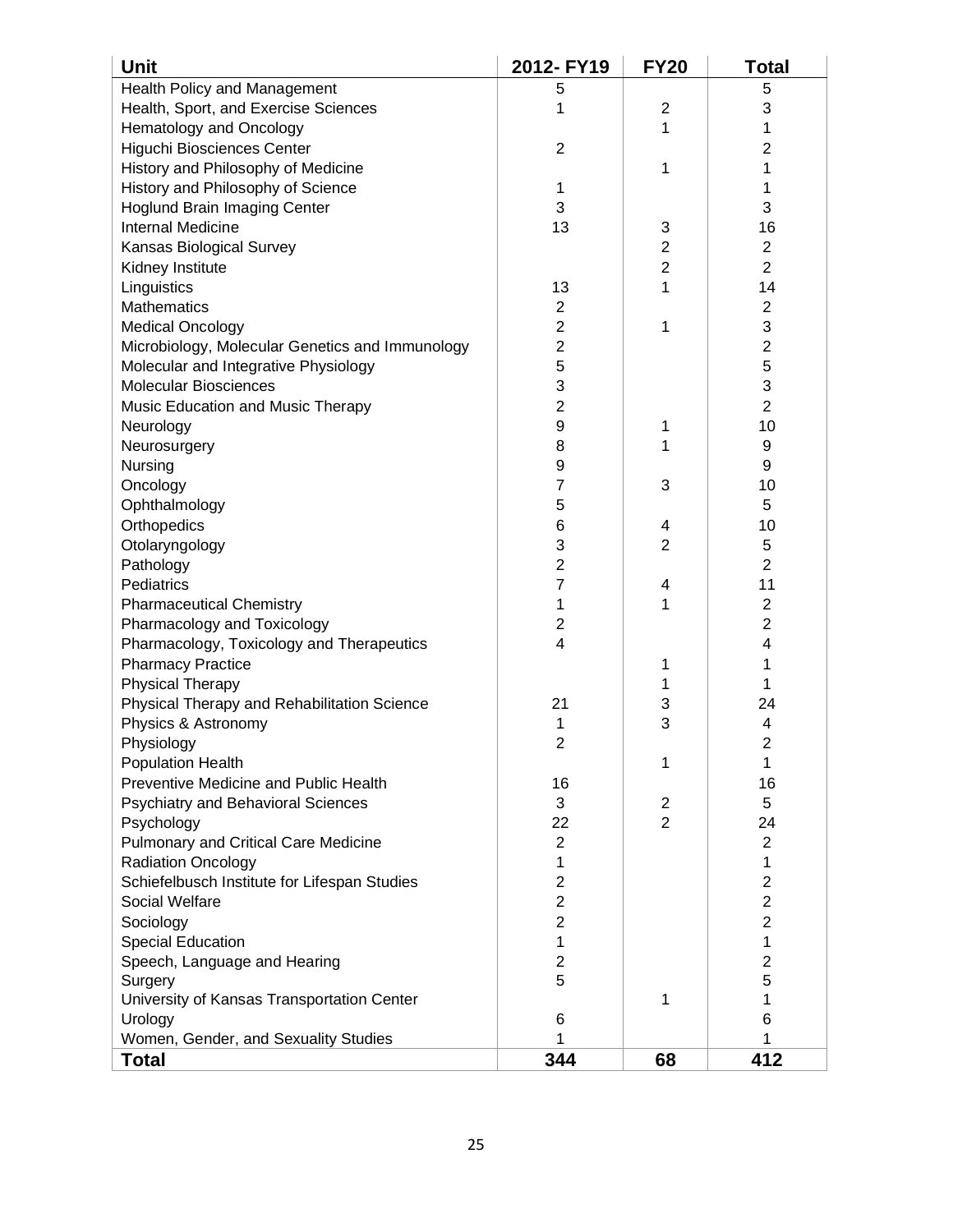| <b>Unit</b>                                                           | 2012- FY19              | <b>FY20</b>         | Total                   |
|-----------------------------------------------------------------------|-------------------------|---------------------|-------------------------|
| Health Policy and Management                                          | 5                       |                     | 5                       |
| Health, Sport, and Exercise Sciences                                  | 1                       | $\overline{2}$      | 3                       |
| Hematology and Oncology                                               |                         | 1                   | 1                       |
| Higuchi Biosciences Center                                            | 2                       |                     | 2                       |
| History and Philosophy of Medicine                                    |                         | 1                   | 1                       |
| History and Philosophy of Science                                     | 1                       |                     | 1                       |
| <b>Hoglund Brain Imaging Center</b>                                   | 3                       |                     | 3                       |
| <b>Internal Medicine</b>                                              | 13                      | 3                   | 16                      |
| Kansas Biological Survey                                              |                         | $\overline{c}$      | $\overline{\mathbf{c}}$ |
| Kidney Institute                                                      |                         | $\overline{c}$      | $\overline{2}$          |
| Linguistics                                                           | 13                      | 1                   | 14                      |
| <b>Mathematics</b>                                                    | 2                       |                     | $\overline{2}$          |
| <b>Medical Oncology</b>                                               | $\overline{2}$          | 1                   | 3                       |
| Microbiology, Molecular Genetics and Immunology                       | $\overline{2}$          |                     | $\overline{2}$          |
| Molecular and Integrative Physiology                                  | 5                       |                     | 5                       |
| <b>Molecular Biosciences</b>                                          | 3                       |                     | 3                       |
| Music Education and Music Therapy                                     | $\overline{\mathbf{c}}$ |                     | $\overline{c}$          |
| Neurology                                                             | 9                       | 1                   | 10                      |
| Neurosurgery                                                          | 8                       | 1                   | 9                       |
| Nursing                                                               | 9                       |                     | 9                       |
| Oncology                                                              | 7                       | 3                   | 10                      |
| Ophthalmology                                                         | 5                       |                     | 5                       |
| Orthopedics                                                           | 6                       | 4                   | 10                      |
| Otolaryngology                                                        | 3                       | $\overline{2}$      | 5                       |
| Pathology                                                             | $\overline{c}$          |                     | $\overline{2}$          |
| Pediatrics                                                            | 7                       | 4                   | 11                      |
|                                                                       | 1                       | 1                   | $\overline{2}$          |
| <b>Pharmaceutical Chemistry</b>                                       | 2                       |                     | $\overline{2}$          |
| Pharmacology and Toxicology                                           | 4                       |                     | 4                       |
| Pharmacology, Toxicology and Therapeutics<br><b>Pharmacy Practice</b> |                         |                     |                         |
|                                                                       |                         | 1                   | 1                       |
| <b>Physical Therapy</b>                                               | 21                      | 1                   | 1                       |
| Physical Therapy and Rehabilitation Science                           |                         | 3                   | 24                      |
| Physics & Astronomy                                                   | 1                       | 3                   | 4<br>$\overline{2}$     |
| Physiology                                                            | $\overline{2}$          |                     |                         |
| <b>Population Health</b><br>Preventive Medicine and Public Health     |                         | 1                   | 1                       |
|                                                                       | 16                      |                     | 16                      |
| <b>Psychiatry and Behavioral Sciences</b>                             | 3                       | 2<br>$\overline{2}$ | 5                       |
| Psychology                                                            | 22                      |                     | 24                      |
| Pulmonary and Critical Care Medicine                                  | $\overline{2}$          |                     | $\overline{2}$          |
| <b>Radiation Oncology</b>                                             | 1                       |                     | 1                       |
| Schiefelbusch Institute for Lifespan Studies                          | 2                       |                     | $\overline{2}$          |
| <b>Social Welfare</b>                                                 | $\overline{2}$          |                     | $\overline{2}$          |
| Sociology                                                             | $\overline{2}$          |                     | $\overline{2}$          |
| <b>Special Education</b>                                              | 1                       |                     | 1                       |
| Speech, Language and Hearing                                          | 2                       |                     | $\overline{2}$          |
| Surgery                                                               | 5                       |                     | 5                       |
| University of Kansas Transportation Center                            |                         | 1                   | 1                       |
| Urology                                                               | 6                       |                     | 6                       |
| Women, Gender, and Sexuality Studies                                  | 1                       |                     | 1                       |
| Total                                                                 | 344                     | 68                  | 412                     |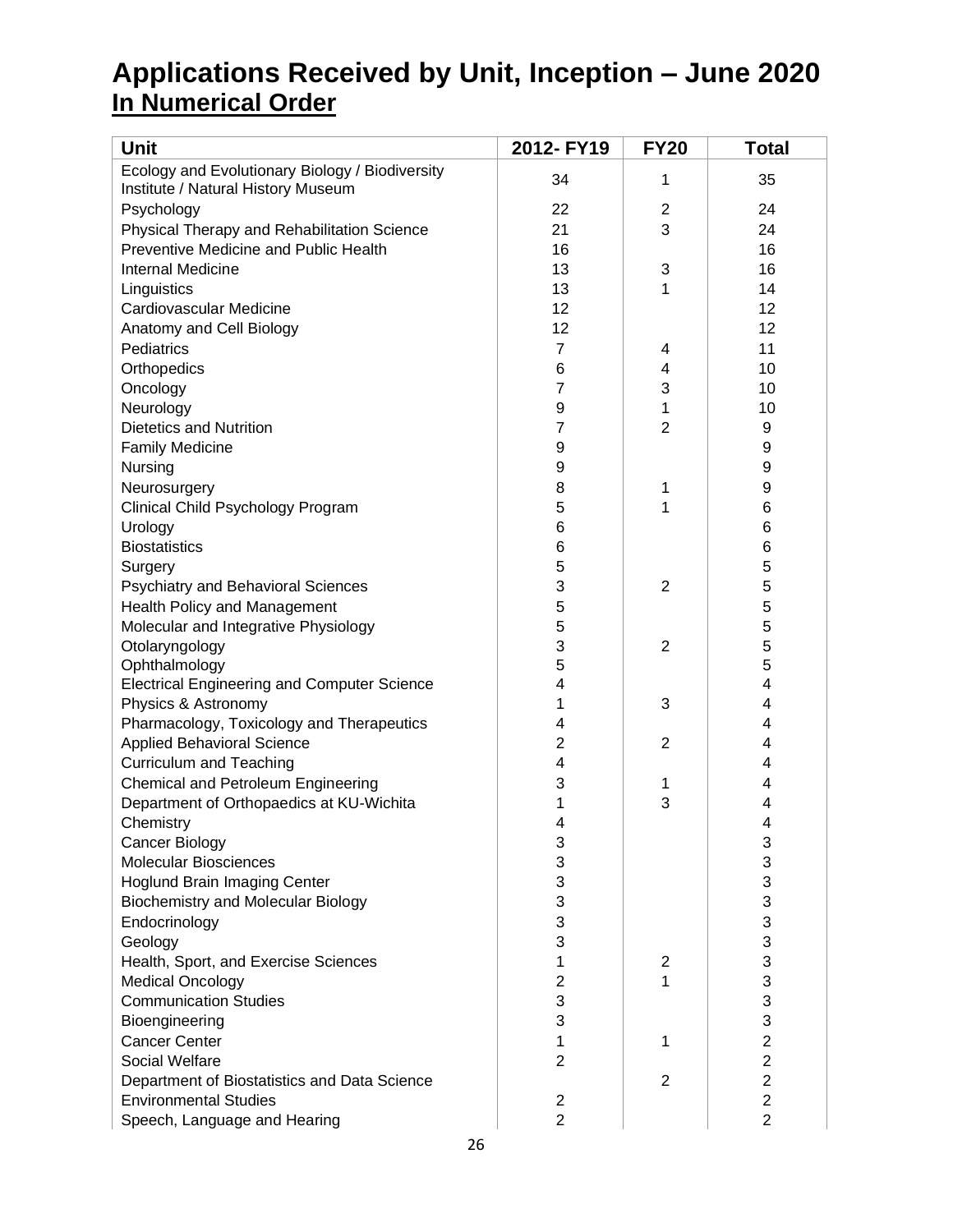## **Applications Received by Unit, Inception – June 2020 In Numerical Order**

| <b>Unit</b>                                                                           | 2012- FY19              | <b>FY20</b>    | <b>Total</b>   |
|---------------------------------------------------------------------------------------|-------------------------|----------------|----------------|
| Ecology and Evolutionary Biology / Biodiversity<br>Institute / Natural History Museum | 34                      | 1              | 35             |
| Psychology                                                                            | 22                      | 2              | 24             |
| Physical Therapy and Rehabilitation Science                                           | 21                      | 3              | 24             |
| Preventive Medicine and Public Health                                                 | 16                      |                | 16             |
| <b>Internal Medicine</b>                                                              | 13                      | 3              | 16             |
| Linguistics                                                                           | 13                      | 1              | 14             |
| Cardiovascular Medicine                                                               | 12                      |                | 12             |
| Anatomy and Cell Biology                                                              | 12                      |                | 12             |
| Pediatrics                                                                            | $\overline{7}$          | 4              | 11             |
| Orthopedics                                                                           | 6                       | 4              | 10             |
| Oncology                                                                              | $\overline{7}$          | 3              | 10             |
| Neurology                                                                             | 9                       | 1              | 10             |
| <b>Dietetics and Nutrition</b>                                                        | 7                       | $\overline{2}$ | 9              |
| <b>Family Medicine</b>                                                                | 9                       |                | 9              |
| Nursing                                                                               | 9                       |                | 9              |
| Neurosurgery                                                                          | 8                       | 1              | 9              |
| Clinical Child Psychology Program                                                     | 5                       | 1              | 6              |
| Urology                                                                               | 6                       |                | 6              |
| <b>Biostatistics</b>                                                                  | 6                       |                | 6              |
| Surgery                                                                               | 5                       |                | 5              |
| <b>Psychiatry and Behavioral Sciences</b>                                             | 3                       | 2              | 5              |
| Health Policy and Management                                                          | 5                       |                | 5              |
| Molecular and Integrative Physiology                                                  | 5                       |                | 5              |
| Otolaryngology                                                                        | 3                       | $\overline{2}$ | 5              |
| Ophthalmology                                                                         | 5                       |                | 5              |
| <b>Electrical Engineering and Computer Science</b>                                    | $\overline{\mathbf{4}}$ |                | 4              |
| Physics & Astronomy                                                                   | 1                       | 3              | 4              |
| Pharmacology, Toxicology and Therapeutics                                             | 4                       |                | 4              |
| <b>Applied Behavioral Science</b>                                                     | $\overline{2}$          | 2              | 4              |
| <b>Curriculum and Teaching</b>                                                        | 4                       |                | 4              |
| Chemical and Petroleum Engineering                                                    | 3                       | 1              | 4              |
| Department of Orthopaedics at KU-Wichita                                              | 1                       | 3              | 4              |
| Chemistry                                                                             | 4                       |                | $\overline{4}$ |
| <b>Cancer Biology</b>                                                                 | 3                       |                | 3              |
| <b>Molecular Biosciences</b>                                                          | 3                       |                | 3              |
| <b>Hoglund Brain Imaging Center</b>                                                   | 3                       |                | 3              |
| <b>Biochemistry and Molecular Biology</b>                                             | 3                       |                | 3              |
| Endocrinology                                                                         | 3                       |                | 3              |
| Geology                                                                               | 3                       |                | 3              |
| Health, Sport, and Exercise Sciences                                                  | 1                       | 2              | 3              |
| <b>Medical Oncology</b>                                                               | $\mathbf{2}$            | 1              | 3              |
| <b>Communication Studies</b>                                                          | 3                       |                | 3              |
| Bioengineering                                                                        | 3                       |                | 3              |
| <b>Cancer Center</b>                                                                  | 1                       | 1              | $\overline{2}$ |
| <b>Social Welfare</b>                                                                 | $\overline{2}$          |                | $\overline{2}$ |
| Department of Biostatistics and Data Science                                          |                         | 2              | $\overline{c}$ |
| <b>Environmental Studies</b>                                                          | 2                       |                | $\mathbf{2}$   |
| Speech, Language and Hearing                                                          | $\overline{2}$          |                | $\overline{2}$ |